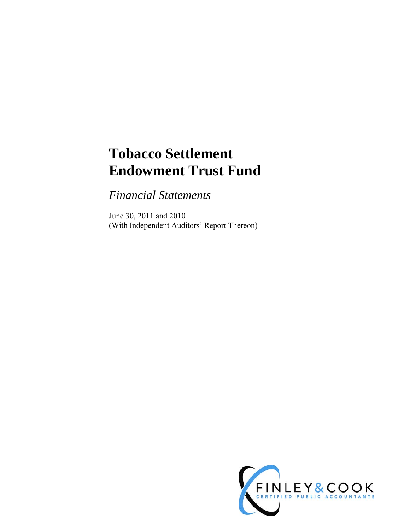# **Tobacco Settlement Endowment Trust Fund**

*Financial Statements* 

June 30, 2011 and 2010 (With Independent Auditors' Report Thereon)

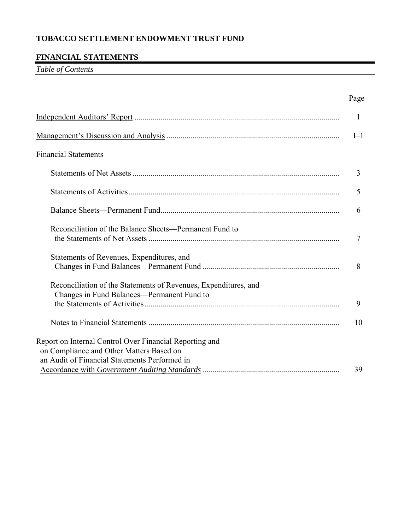# **FINANCIAL STATEMENTS**

*Table of Contents* 

|                                                                                                                                                      | <u>Page</u>  |
|------------------------------------------------------------------------------------------------------------------------------------------------------|--------------|
|                                                                                                                                                      | $\mathbf{I}$ |
|                                                                                                                                                      | $I-1$        |
| <b>Financial Statements</b>                                                                                                                          |              |
|                                                                                                                                                      | 3            |
|                                                                                                                                                      | 5            |
|                                                                                                                                                      | 6            |
| Reconciliation of the Balance Sheets—Permanent Fund to                                                                                               | 7            |
| Statements of Revenues, Expenditures, and                                                                                                            | 8            |
| Reconciliation of the Statements of Revenues, Expenditures, and<br>Changes in Fund Balances—Permanent Fund to                                        | 9            |
|                                                                                                                                                      | 10           |
| Report on Internal Control Over Financial Reporting and<br>on Compliance and Other Matters Based on<br>an Audit of Financial Statements Performed in |              |
|                                                                                                                                                      | 39           |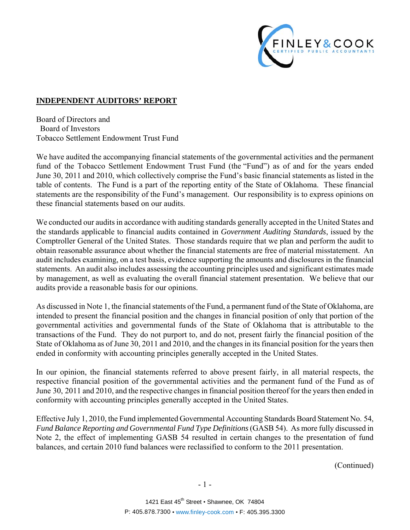

#### **INDEPENDENT AUDITORS' REPORT**

Board of Directors and Board of Investors Tobacco Settlement Endowment Trust Fund

We have audited the accompanying financial statements of the governmental activities and the permanent fund of the Tobacco Settlement Endowment Trust Fund (the "Fund") as of and for the years ended June 30, 2011 and 2010, which collectively comprise the Fund's basic financial statements as listed in the table of contents. The Fund is a part of the reporting entity of the State of Oklahoma. These financial statements are the responsibility of the Fund's management. Our responsibility is to express opinions on these financial statements based on our audits.

We conducted our audits in accordance with auditing standards generally accepted in the United States and the standards applicable to financial audits contained in *Government Auditing Standards*, issued by the Comptroller General of the United States. Those standards require that we plan and perform the audit to obtain reasonable assurance about whether the financial statements are free of material misstatement. An audit includes examining, on a test basis, evidence supporting the amounts and disclosures in the financial statements. An audit also includes assessing the accounting principles used and significant estimates made by management, as well as evaluating the overall financial statement presentation. We believe that our audits provide a reasonable basis for our opinions.

As discussed in Note 1, the financial statements of the Fund, a permanent fund of the State of Oklahoma, are intended to present the financial position and the changes in financial position of only that portion of the governmental activities and governmental funds of the State of Oklahoma that is attributable to the transactions of the Fund. They do not purport to, and do not, present fairly the financial position of the State of Oklahoma as of June 30, 2011 and 2010, and the changes in its financial position for the years then ended in conformity with accounting principles generally accepted in the United States.

In our opinion, the financial statements referred to above present fairly, in all material respects, the respective financial position of the governmental activities and the permanent fund of the Fund as of June 30, 2011 and 2010, and the respective changes in financial position thereof for the years then ended in conformity with accounting principles generally accepted in the United States.

Effective July 1, 2010, the Fund implemented Governmental Accounting Standards Board Statement No. 54, *Fund Balance Reporting and Governmental Fund Type Definitions* (GASB 54). As more fully discussed in Note 2, the effect of implementing GASB 54 resulted in certain changes to the presentation of fund balances, and certain 2010 fund balances were reclassified to conform to the 2011 presentation.

(Continued)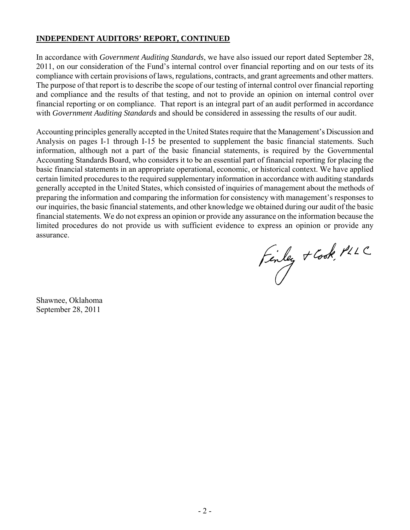## **INDEPENDENT AUDITORS' REPORT, CONTINUED**

In accordance with *Government Auditing Standards*, we have also issued our report dated September 28, 2011, on our consideration of the Fund's internal control over financial reporting and on our tests of its compliance with certain provisions of laws, regulations, contracts, and grant agreements and other matters. The purpose of that report is to describe the scope of our testing of internal control over financial reporting and compliance and the results of that testing, and not to provide an opinion on internal control over financial reporting or on compliance. That report is an integral part of an audit performed in accordance with *Government Auditing Standards* and should be considered in assessing the results of our audit.

Accounting principles generally accepted in the United States require that the Management's Discussion and Analysis on pages I-1 through I-15 be presented to supplement the basic financial statements. Such information, although not a part of the basic financial statements, is required by the Governmental Accounting Standards Board, who considers it to be an essential part of financial reporting for placing the basic financial statements in an appropriate operational, economic, or historical context. We have applied certain limited procedures to the required supplementary information in accordance with auditing standards generally accepted in the United States, which consisted of inquiries of management about the methods of preparing the information and comparing the information for consistency with management's responses to our inquiries, the basic financial statements, and other knowledge we obtained during our audit of the basic financial statements. We do not express an opinion or provide any assurance on the information because the limited procedures do not provide us with sufficient evidence to express an opinion or provide any assurance.

Finley + Cook, PLLC

Shawnee, Oklahoma September 28, 2011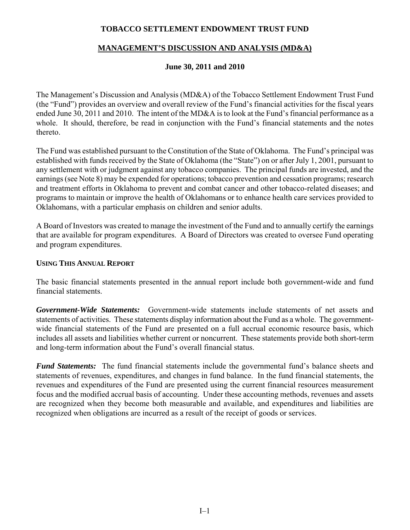# **MANAGEMENT'S DISCUSSION AND ANALYSIS (MD&A)**

# **June 30, 2011 and 2010**

The Management's Discussion and Analysis (MD&A) of the Tobacco Settlement Endowment Trust Fund (the "Fund") provides an overview and overall review of the Fund's financial activities for the fiscal years ended June 30, 2011 and 2010. The intent of the MD&A is to look at the Fund's financial performance as a whole. It should, therefore, be read in conjunction with the Fund's financial statements and the notes thereto.

The Fund was established pursuant to the Constitution of the State of Oklahoma. The Fund's principal was established with funds received by the State of Oklahoma (the "State") on or after July 1, 2001, pursuant to any settlement with or judgment against any tobacco companies. The principal funds are invested, and the earnings (see Note 8) may be expended for operations; tobacco prevention and cessation programs; research and treatment efforts in Oklahoma to prevent and combat cancer and other tobacco-related diseases; and programs to maintain or improve the health of Oklahomans or to enhance health care services provided to Oklahomans, with a particular emphasis on children and senior adults.

A Board of Investors was created to manage the investment of the Fund and to annually certify the earnings that are available for program expenditures. A Board of Directors was created to oversee Fund operating and program expenditures.

#### **USING THIS ANNUAL REPORT**

The basic financial statements presented in the annual report include both government-wide and fund financial statements.

*Government-Wide Statements:* Government-wide statements include statements of net assets and statements of activities. These statements display information about the Fund as a whole. The governmentwide financial statements of the Fund are presented on a full accrual economic resource basis, which includes all assets and liabilities whether current or noncurrent. These statements provide both short-term and long-term information about the Fund's overall financial status.

*Fund Statements:* The fund financial statements include the governmental fund's balance sheets and statements of revenues, expenditures, and changes in fund balance. In the fund financial statements, the revenues and expenditures of the Fund are presented using the current financial resources measurement focus and the modified accrual basis of accounting. Under these accounting methods, revenues and assets are recognized when they become both measurable and available, and expenditures and liabilities are recognized when obligations are incurred as a result of the receipt of goods or services.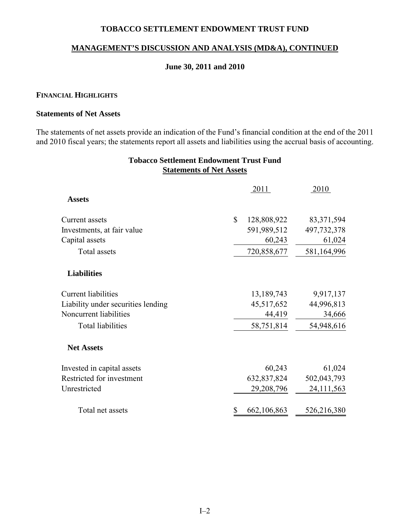#### **MANAGEMENT'S DISCUSSION AND ANALYSIS (MD&A), CONTINUED**

#### **June 30, 2011 and 2010**

#### **FINANCIAL HIGHLIGHTS**

#### **Statements of Net Assets**

The statements of net assets provide an indication of the Fund's financial condition at the end of the 2011 and 2010 fiscal years; the statements report all assets and liabilities using the accrual basis of accounting.

| <b>Assets</b>                      | 2011              | 2010         |
|------------------------------------|-------------------|--------------|
| <b>Current assets</b>              | \$<br>128,808,922 | 83, 371, 594 |
| Investments, at fair value         | 591,989,512       | 497,732,378  |
| Capital assets                     | 60,243            | 61,024       |
| Total assets                       | 720,858,677       | 581,164,996  |
| <b>Liabilities</b>                 |                   |              |
| <b>Current liabilities</b>         | 13,189,743        | 9,917,137    |
| Liability under securities lending | 45,517,652        | 44,996,813   |
| Noncurrent liabilities             | 44,419            | 34,666       |
| <b>Total liabilities</b>           | 58,751,814        | 54,948,616   |
| <b>Net Assets</b>                  |                   |              |
| Invested in capital assets         | 60,243            | 61,024       |
| Restricted for investment          | 632,837,824       | 502,043,793  |
| Unrestricted                       | 29,208,796        | 24, 111, 563 |
| Total net assets                   | 662, 106, 863     | 526,216,380  |

## **Tobacco Settlement Endowment Trust Fund Statements of Net Assets**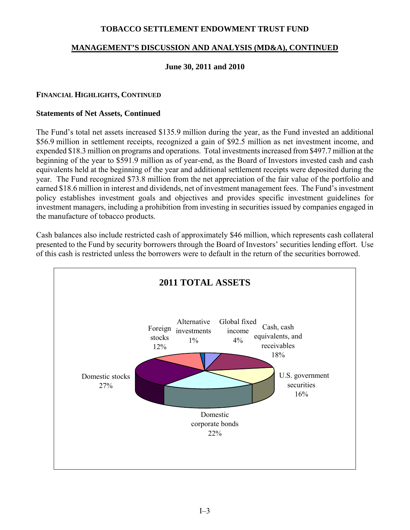#### **MANAGEMENT'S DISCUSSION AND ANALYSIS (MD&A), CONTINUED**

#### **June 30, 2011 and 2010**

#### **FINANCIAL HIGHLIGHTS, CONTINUED**

#### **Statements of Net Assets, Continued**

The Fund's total net assets increased \$135.9 million during the year, as the Fund invested an additional \$56.9 million in settlement receipts, recognized a gain of \$92.5 million as net investment income, and expended \$18.3 million on programs and operations. Total investments increased from \$497.7 million at the beginning of the year to \$591.9 million as of year-end, as the Board of Investors invested cash and cash equivalents held at the beginning of the year and additional settlement receipts were deposited during the year. The Fund recognized \$73.8 million from the net appreciation of the fair value of the portfolio and earned \$18.6 million in interest and dividends, net of investment management fees. The Fund's investment policy establishes investment goals and objectives and provides specific investment guidelines for investment managers, including a prohibition from investing in securities issued by companies engaged in the manufacture of tobacco products.

Cash balances also include restricted cash of approximately \$46 million, which represents cash collateral presented to the Fund by security borrowers through the Board of Investors' securities lending effort. Use of this cash is restricted unless the borrowers were to default in the return of the securities borrowed.

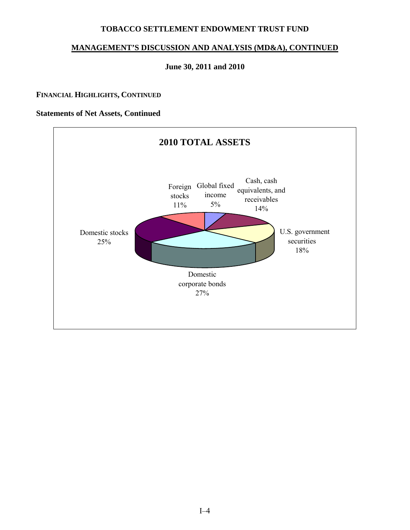#### **MANAGEMENT'S DISCUSSION AND ANALYSIS (MD&A), CONTINUED**

#### **June 30, 2011 and 2010**

#### **FINANCIAL HIGHLIGHTS, CONTINUED**

#### **Statements of Net Assets, Continued**

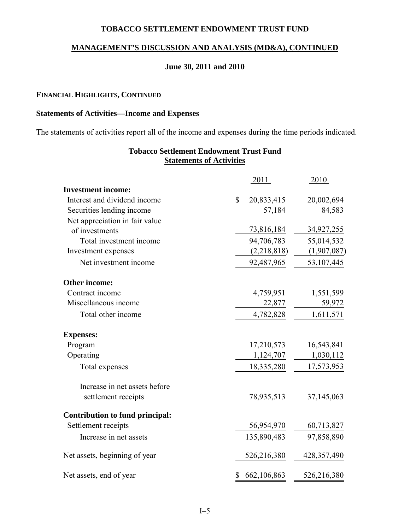# **MANAGEMENT'S DISCUSSION AND ANALYSIS (MD&A), CONTINUED**

#### **June 30, 2011 and 2010**

#### **FINANCIAL HIGHLIGHTS, CONTINUED**

## **Statements of Activities—Income and Expenses**

The statements of activities report all of the income and expenses during the time periods indicated.

|                                 | 2011 |             | 2010          |
|---------------------------------|------|-------------|---------------|
| <b>Investment income:</b>       |      |             |               |
| Interest and dividend income    | \$   | 20,833,415  | 20,002,694    |
| Securities lending income       |      | 57,184      | 84,583        |
| Net appreciation in fair value  |      |             |               |
| of investments                  |      | 73,816,184  | 34,927,255    |
| Total investment income         |      | 94,706,783  | 55,014,532    |
| Investment expenses             |      | (2,218,818) | (1,907,087)   |
| Net investment income           |      | 92,487,965  | 53, 107, 445  |
| Other income:                   |      |             |               |
| Contract income                 |      | 4,759,951   | 1,551,599     |
| Miscellaneous income            |      | 22,877      | 59,972        |
| Total other income              |      | 4,782,828   | 1,611,571     |
| <b>Expenses:</b>                |      |             |               |
| Program                         |      | 17,210,573  | 16,543,841    |
| Operating                       |      | 1,124,707   | 1,030,112     |
| Total expenses                  |      | 18,335,280  | 17,573,953    |
| Increase in net assets before   |      |             |               |
| settlement receipts             |      | 78,935,513  | 37,145,063    |
| Contribution to fund principal: |      |             |               |
| Settlement receipts             |      | 56,954,970  | 60,713,827    |
| Increase in net assets          |      | 135,890,483 | 97,858,890    |
| Net assets, beginning of year   |      | 526,216,380 | 428, 357, 490 |
| Net assets, end of year         | \$   | 662,106,863 | 526,216,380   |

## **Tobacco Settlement Endowment Trust Fund Statements of Activities**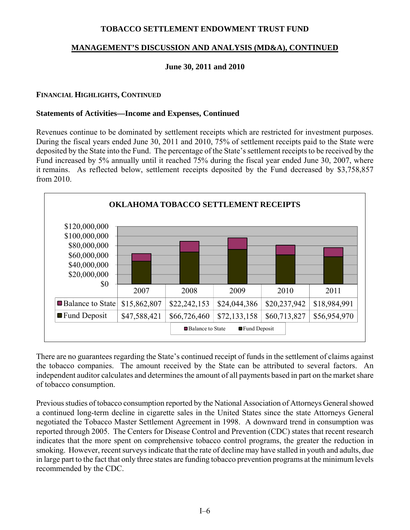## **MANAGEMENT'S DISCUSSION AND ANALYSIS (MD&A), CONTINUED**

## **June 30, 2011 and 2010**

#### **FINANCIAL HIGHLIGHTS, CONTINUED**

#### **Statements of Activities—Income and Expenses, Continued**

Revenues continue to be dominated by settlement receipts which are restricted for investment purposes. During the fiscal years ended June 30, 2011 and 2010, 75% of settlement receipts paid to the State were deposited by the State into the Fund. The percentage of the State's settlement receipts to be received by the Fund increased by 5% annually until it reached 75% during the fiscal year ended June 30, 2007, where it remains. As reflected below, settlement receipts deposited by the Fund decreased by \$3,758,857 from 2010.



There are no guarantees regarding the State's continued receipt of funds in the settlement of claims against the tobacco companies. The amount received by the State can be attributed to several factors. An independent auditor calculates and determines the amount of all payments based in part on the market share of tobacco consumption.

Previous studies of tobacco consumption reported by the National Association of Attorneys General showed a continued long-term decline in cigarette sales in the United States since the state Attorneys General negotiated the Tobacco Master Settlement Agreement in 1998. A downward trend in consumption was reported through 2005. The Centers for Disease Control and Prevention (CDC) states that recent research indicates that the more spent on comprehensive tobacco control programs, the greater the reduction in smoking. However, recent surveys indicate that the rate of decline may have stalled in youth and adults, due in large part to the fact that only three states are funding tobacco prevention programs at the minimum levels recommended by the CDC.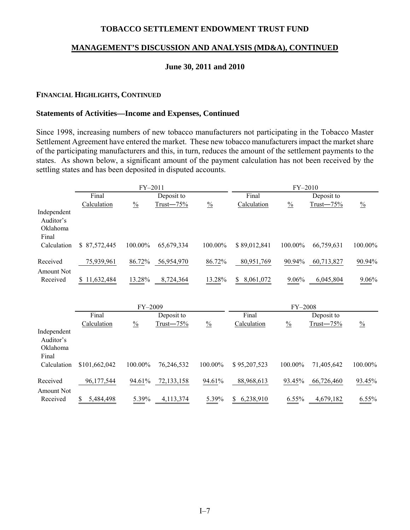#### **MANAGEMENT'S DISCUSSION AND ANALYSIS (MD&A), CONTINUED**

#### **June 30, 2011 and 2010**

#### **FINANCIAL HIGHLIGHTS, CONTINUED**

#### **Statements of Activities—Income and Expenses, Continued**

Since 1998, increasing numbers of new tobacco manufacturers not participating in the Tobacco Master Settlement Agreement have entered the market. These new tobacco manufacturers impact the market share of the participating manufacturers and this, in turn, reduces the amount of the settlement payments to the states. As shown below, a significant amount of the payment calculation has not been received by the settling states and has been deposited in disputed accounts.

|                   |               | $FY-2011$     |               |               |                 | $FY-2010$     |              |               |
|-------------------|---------------|---------------|---------------|---------------|-----------------|---------------|--------------|---------------|
|                   | Final         |               | Deposit to    |               | Final           |               | Deposit to   |               |
|                   | Calculation   | $\frac{0}{0}$ | Trust $-75\%$ | $\frac{0}{0}$ | Calculation     | $\frac{0}{0}$ | Trust $-75%$ | $\frac{0}{0}$ |
| Independent       |               |               |               |               |                 |               |              |               |
| Auditor's         |               |               |               |               |                 |               |              |               |
| Oklahoma          |               |               |               |               |                 |               |              |               |
| Final             |               |               |               |               |                 |               |              |               |
| Calculation       | \$ 87,572,445 | 100.00%       | 65,679,334    | 100.00%       | \$89,012,841    | 100.00%       | 66,759,631   | $100.00\%$    |
|                   |               |               |               |               |                 |               |              |               |
| Received          | 75,939,961    | 86.72%        | 56,954,970    | 86.72%        | 80,951,769      | 90.94%        | 60,713,827   | 90.94%        |
| <b>Amount Not</b> |               |               |               |               |                 |               |              |               |
| Received          | \$11,632,484  | 13.28%        | 8,724,364     | 13.28%        | 8,061,072<br>S. | $9.06\%$      | 6,045,804    | 9.06%         |

|                   |               | $FY-2009$     |              |               |                 | $FY-2008$     |              |                      |
|-------------------|---------------|---------------|--------------|---------------|-----------------|---------------|--------------|----------------------|
|                   | Final         |               | Deposit to   |               | Final           |               | Deposit to   |                      |
|                   | Calculation   | $\frac{0}{0}$ | Trust $-75%$ | $\frac{0}{0}$ | Calculation     | $\frac{0}{0}$ | Trust $-75%$ | $\frac{0}{0}$        |
| Independent       |               |               |              |               |                 |               |              |                      |
| Auditor's         |               |               |              |               |                 |               |              |                      |
| Oklahoma          |               |               |              |               |                 |               |              |                      |
| Final             |               |               |              |               |                 |               |              |                      |
| Calculation       | \$101,662,042 | 100.00%       | 76,246,532   | 100.00%       | \$95,207,523    | 100.00%       | 71,405,642   | 100.00%              |
|                   |               |               |              |               |                 |               |              |                      |
| Received          | 96, 177, 544  | 94.61%        | 72, 133, 158 | 94.61%        | 88,968,613      | 93.45%        | 66,726,460   | 93.45%               |
| <b>Amount Not</b> |               |               |              |               |                 |               |              |                      |
| Received          | 5,484,498     | 5.39%         | 4,113,374    | 5.39%         | 6,238,910<br>S. | $6.55\%$      | 4,679,182    | $\underline{6.55\%}$ |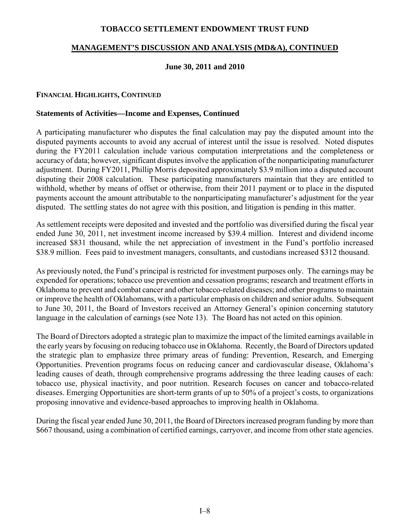#### **MANAGEMENT'S DISCUSSION AND ANALYSIS (MD&A), CONTINUED**

#### **June 30, 2011 and 2010**

#### **FINANCIAL HIGHLIGHTS, CONTINUED**

#### **Statements of Activities—Income and Expenses, Continued**

A participating manufacturer who disputes the final calculation may pay the disputed amount into the disputed payments accounts to avoid any accrual of interest until the issue is resolved. Noted disputes during the FY2011 calculation include various computation interpretations and the completeness or accuracy of data; however, significant disputes involve the application of the nonparticipating manufacturer adjustment. During FY2011, Phillip Morris deposited approximately \$3.9 million into a disputed account disputing their 2008 calculation. These participating manufacturers maintain that they are entitled to withhold, whether by means of offset or otherwise, from their 2011 payment or to place in the disputed payments account the amount attributable to the nonparticipating manufacturer's adjustment for the year disputed. The settling states do not agree with this position, and litigation is pending in this matter.

As settlement receipts were deposited and invested and the portfolio was diversified during the fiscal year ended June 30, 2011, net investment income increased by \$39.4 million. Interest and dividend income increased \$831 thousand, while the net appreciation of investment in the Fund's portfolio increased \$38.9 million. Fees paid to investment managers, consultants, and custodians increased \$312 thousand.

As previously noted, the Fund's principal is restricted for investment purposes only. The earnings may be expended for operations; tobacco use prevention and cessation programs; research and treatment efforts in Oklahoma to prevent and combat cancer and other tobacco-related diseases; and other programs to maintain or improve the health of Oklahomans, with a particular emphasis on children and senior adults. Subsequent to June 30, 2011, the Board of Investors received an Attorney General's opinion concerning statutory language in the calculation of earnings (see Note 13). The Board has not acted on this opinion.

The Board of Directors adopted a strategic plan to maximize the impact of the limited earnings available in the early years by focusing on reducing tobacco use in Oklahoma. Recently, the Board of Directors updated the strategic plan to emphasize three primary areas of funding: Prevention, Research, and Emerging Opportunities. Prevention programs focus on reducing cancer and cardiovascular disease, Oklahoma's leading causes of death, through comprehensive programs addressing the three leading causes of each: tobacco use, physical inactivity, and poor nutrition. Research focuses on cancer and tobacco-related diseases. Emerging Opportunities are short-term grants of up to 50% of a project's costs, to organizations proposing innovative and evidence-based approaches to improving health in Oklahoma.

During the fiscal year ended June 30, 2011, the Board of Directors increased program funding by more than \$667 thousand, using a combination of certified earnings, carryover, and income from other state agencies.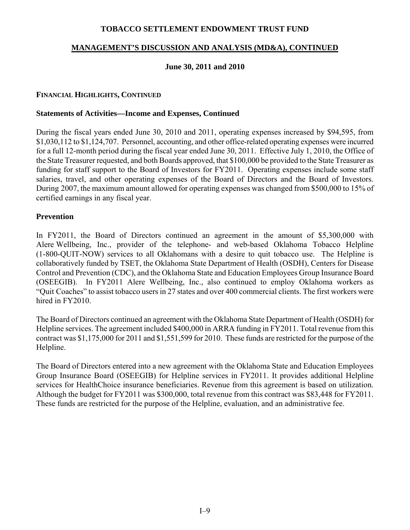#### **MANAGEMENT'S DISCUSSION AND ANALYSIS (MD&A), CONTINUED**

#### **June 30, 2011 and 2010**

#### **FINANCIAL HIGHLIGHTS, CONTINUED**

#### **Statements of Activities—Income and Expenses, Continued**

During the fiscal years ended June 30, 2010 and 2011, operating expenses increased by \$94,595, from \$1,030,112 to \$1,124,707. Personnel, accounting, and other office-related operating expenses were incurred for a full 12-month period during the fiscal year ended June 30, 2011. Effective July 1, 2010, the Office of the State Treasurer requested, and both Boards approved, that \$100,000 be provided to the State Treasurer as funding for staff support to the Board of Investors for FY2011. Operating expenses include some staff salaries, travel, and other operating expenses of the Board of Directors and the Board of Investors. During 2007, the maximum amount allowed for operating expenses was changed from \$500,000 to 15% of certified earnings in any fiscal year.

#### **Prevention**

In FY2011, the Board of Directors continued an agreement in the amount of \$5,300,000 with Alere Wellbeing, Inc., provider of the telephone- and web-based Oklahoma Tobacco Helpline (1-800-QUIT-NOW) services to all Oklahomans with a desire to quit tobacco use. The Helpline is collaboratively funded by TSET, the Oklahoma State Department of Health (OSDH), Centers for Disease Control and Prevention (CDC), and the Oklahoma State and Education Employees Group Insurance Board (OSEEGIB). In FY2011 Alere Wellbeing, Inc., also continued to employ Oklahoma workers as "Quit Coaches" to assist tobacco users in 27 states and over 400 commercial clients. The first workers were hired in FY2010.

The Board of Directors continued an agreement with the Oklahoma State Department of Health (OSDH) for Helpline services. The agreement included \$400,000 in ARRA funding in FY2011. Total revenue from this contract was \$1,175,000 for 2011 and \$1,551,599 for 2010. These funds are restricted for the purpose of the Helpline.

The Board of Directors entered into a new agreement with the Oklahoma State and Education Employees Group Insurance Board (OSEEGIB) for Helpline services in FY2011. It provides additional Helpline services for HealthChoice insurance beneficiaries. Revenue from this agreement is based on utilization. Although the budget for FY2011 was \$300,000, total revenue from this contract was \$83,448 for FY2011. These funds are restricted for the purpose of the Helpline, evaluation, and an administrative fee.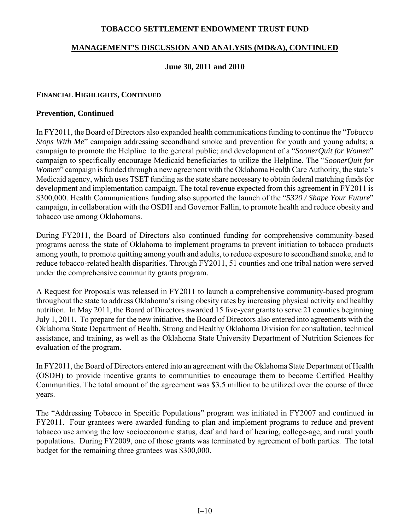#### **MANAGEMENT'S DISCUSSION AND ANALYSIS (MD&A), CONTINUED**

#### **June 30, 2011 and 2010**

#### **FINANCIAL HIGHLIGHTS, CONTINUED**

#### **Prevention, Continued**

In FY2011, the Board of Directors also expanded health communications funding to continue the "*Tobacco Stops With Me*" campaign addressing secondhand smoke and prevention for youth and young adults; a campaign to promote the Helpline to the general public; and development of a "*SoonerQuit for Women*" campaign to specifically encourage Medicaid beneficiaries to utilize the Helpline. The "*SoonerQuit for Women*" campaign is funded through a new agreement with the Oklahoma Health Care Authority, the state's Medicaid agency, which uses TSET funding as the state share necessary to obtain federal matching funds for development and implementation campaign. The total revenue expected from this agreement in FY2011 is \$300,000. Health Communications funding also supported the launch of the "*5320 / Shape Your Future*" campaign, in collaboration with the OSDH and Governor Fallin, to promote health and reduce obesity and tobacco use among Oklahomans.

During FY2011, the Board of Directors also continued funding for comprehensive community-based programs across the state of Oklahoma to implement programs to prevent initiation to tobacco products among youth, to promote quitting among youth and adults, to reduce exposure to secondhand smoke, and to reduce tobacco-related health disparities. Through FY2011, 51 counties and one tribal nation were served under the comprehensive community grants program.

A Request for Proposals was released in FY2011 to launch a comprehensive community-based program throughout the state to address Oklahoma's rising obesity rates by increasing physical activity and healthy nutrition. In May 2011, the Board of Directors awarded 15 five-year grants to serve 21 counties beginning July 1, 2011. To prepare for the new initiative, the Board of Directors also entered into agreements with the Oklahoma State Department of Health, Strong and Healthy Oklahoma Division for consultation, technical assistance, and training, as well as the Oklahoma State University Department of Nutrition Sciences for evaluation of the program.

In FY2011, the Board of Directors entered into an agreement with the Oklahoma State Department of Health (OSDH) to provide incentive grants to communities to encourage them to become Certified Healthy Communities. The total amount of the agreement was \$3.5 million to be utilized over the course of three years.

The "Addressing Tobacco in Specific Populations" program was initiated in FY2007 and continued in FY2011. Four grantees were awarded funding to plan and implement programs to reduce and prevent tobacco use among the low socioeconomic status, deaf and hard of hearing, college-age, and rural youth populations. During FY2009, one of those grants was terminated by agreement of both parties. The total budget for the remaining three grantees was \$300,000.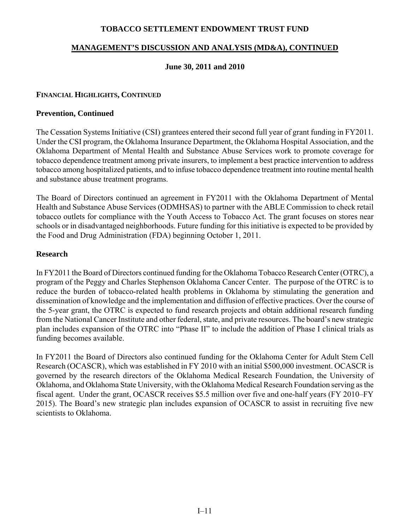#### **MANAGEMENT'S DISCUSSION AND ANALYSIS (MD&A), CONTINUED**

#### **June 30, 2011 and 2010**

#### **FINANCIAL HIGHLIGHTS, CONTINUED**

#### **Prevention, Continued**

The Cessation Systems Initiative (CSI) grantees entered their second full year of grant funding in FY2011. Under the CSI program, the Oklahoma Insurance Department, the Oklahoma Hospital Association, and the Oklahoma Department of Mental Health and Substance Abuse Services work to promote coverage for tobacco dependence treatment among private insurers, to implement a best practice intervention to address tobacco among hospitalized patients, and to infuse tobacco dependence treatment into routine mental health and substance abuse treatment programs.

The Board of Directors continued an agreement in FY2011 with the Oklahoma Department of Mental Health and Substance Abuse Services (ODMHSAS) to partner with the ABLE Commission to check retail tobacco outlets for compliance with the Youth Access to Tobacco Act. The grant focuses on stores near schools or in disadvantaged neighborhoods. Future funding for this initiative is expected to be provided by the Food and Drug Administration (FDA) beginning October 1, 2011.

#### **Research**

In FY2011 the Board of Directors continued funding for the Oklahoma Tobacco Research Center (OTRC), a program of the Peggy and Charles Stephenson Oklahoma Cancer Center. The purpose of the OTRC is to reduce the burden of tobacco-related health problems in Oklahoma by stimulating the generation and dissemination of knowledge and the implementation and diffusion of effective practices. Over the course of the 5-year grant, the OTRC is expected to fund research projects and obtain additional research funding from the National Cancer Institute and other federal, state, and private resources. The board's new strategic plan includes expansion of the OTRC into "Phase II" to include the addition of Phase I clinical trials as funding becomes available.

In FY2011 the Board of Directors also continued funding for the Oklahoma Center for Adult Stem Cell Research (OCASCR), which was established in FY 2010 with an initial \$500,000 investment. OCASCR is governed by the research directors of the Oklahoma Medical Research Foundation, the University of Oklahoma, and Oklahoma State University, with the Oklahoma Medical Research Foundation serving as the fiscal agent. Under the grant, OCASCR receives \$5.5 million over five and one-half years (FY 2010–FY 2015). The Board's new strategic plan includes expansion of OCASCR to assist in recruiting five new scientists to Oklahoma.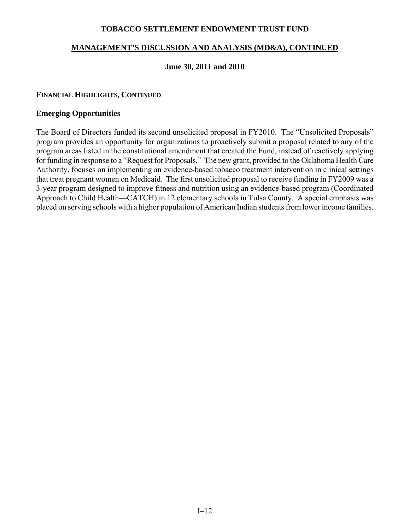#### **MANAGEMENT'S DISCUSSION AND ANALYSIS (MD&A), CONTINUED**

#### **June 30, 2011 and 2010**

#### **FINANCIAL HIGHLIGHTS, CONTINUED**

#### **Emerging Opportunities**

The Board of Directors funded its second unsolicited proposal in FY2010. The "Unsolicited Proposals" program provides an opportunity for organizations to proactively submit a proposal related to any of the program areas listed in the constitutional amendment that created the Fund, instead of reactively applying for funding in response to a "Request for Proposals." The new grant, provided to the Oklahoma Health Care Authority, focuses on implementing an evidence-based tobacco treatment intervention in clinical settings that treat pregnant women on Medicaid. The first unsolicited proposal to receive funding in FY2009 was a 3-year program designed to improve fitness and nutrition using an evidence-based program (Coordinated Approach to Child Health—CATCH) in 12 elementary schools in Tulsa County. A special emphasis was placed on serving schools with a higher population of American Indian students from lower income families.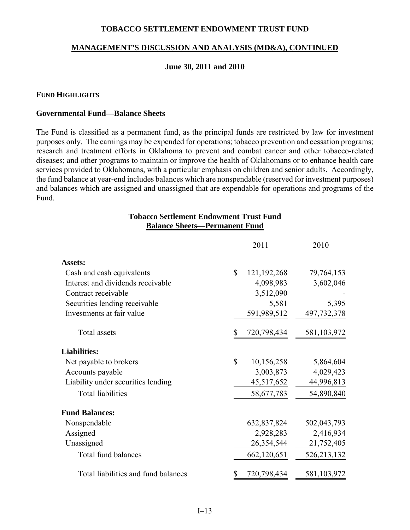#### **MANAGEMENT'S DISCUSSION AND ANALYSIS (MD&A), CONTINUED**

#### **June 30, 2011 and 2010**

#### **FUND HIGHLIGHTS**

#### **Governmental Fund—Balance Sheets**

The Fund is classified as a permanent fund, as the principal funds are restricted by law for investment purposes only. The earnings may be expended for operations; tobacco prevention and cessation programs; research and treatment efforts in Oklahoma to prevent and combat cancer and other tobacco-related diseases; and other programs to maintain or improve the health of Oklahomans or to enhance health care services provided to Oklahomans, with a particular emphasis on children and senior adults. Accordingly, the fund balance at year-end includes balances which are nonspendable (reserved for investment purposes) and balances which are assigned and unassigned that are expendable for operations and programs of the Fund.

#### **Tobacco Settlement Endowment Trust Fund Balance Sheets—Permanent Fund**

|                                     |              | 2011          | 2010          |
|-------------------------------------|--------------|---------------|---------------|
| <b>Assets:</b>                      |              |               |               |
| Cash and cash equivalents           | $\mathbb{S}$ | 121, 192, 268 | 79,764,153    |
| Interest and dividends receivable   |              | 4,098,983     | 3,602,046     |
| Contract receivable                 |              | 3,512,090     |               |
| Securities lending receivable       |              | 5,581         | 5,395         |
| Investments at fair value           |              | 591,989,512   | 497,732,378   |
| Total assets                        | \$           | 720,798,434   | 581, 103, 972 |
| <b>Liabilities:</b>                 |              |               |               |
| Net payable to brokers              | \$           | 10,156,258    | 5,864,604     |
| Accounts payable                    |              | 3,003,873     | 4,029,423     |
| Liability under securities lending  |              | 45,517,652    | 44,996,813    |
| Total liabilities                   |              | 58,677,783    | 54,890,840    |
| <b>Fund Balances:</b>               |              |               |               |
| Nonspendable                        |              | 632,837,824   | 502,043,793   |
| Assigned                            |              | 2,928,283     | 2,416,934     |
| Unassigned                          |              | 26,354,544    | 21,752,405    |
| Total fund balances                 |              | 662,120,651   | 526, 213, 132 |
| Total liabilities and fund balances | \$           | 720,798,434   | 581,103,972   |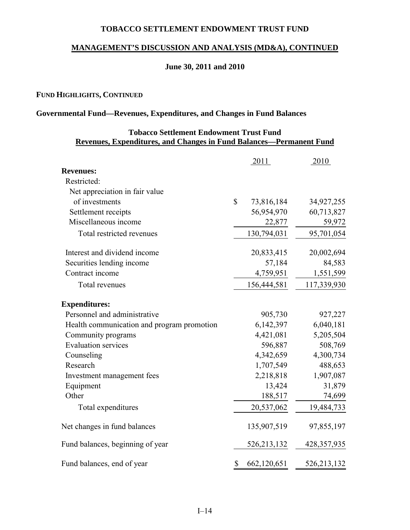## **MANAGEMENT'S DISCUSSION AND ANALYSIS (MD&A), CONTINUED**

#### **June 30, 2011 and 2010**

#### **FUND HIGHLIGHTS, CONTINUED**

#### **Governmental Fund—Revenues, Expenditures, and Changes in Fund Balances**

#### **Tobacco Settlement Endowment Trust Fund Revenues, Expenditures, and Changes in Fund Balances—Permanent Fund**

|                                            | 2011              | $-2010$       |
|--------------------------------------------|-------------------|---------------|
| <b>Revenues:</b>                           |                   |               |
| Restricted:                                |                   |               |
| Net appreciation in fair value             |                   |               |
| of investments                             | \$<br>73,816,184  | 34,927,255    |
| Settlement receipts                        | 56,954,970        | 60,713,827    |
| Miscellaneous income                       | 22,877            | 59,972        |
| Total restricted revenues                  | 130,794,031       | 95,701,054    |
| Interest and dividend income               | 20,833,415        | 20,002,694    |
| Securities lending income                  | 57,184            | 84,583        |
| Contract income                            | 4,759,951         | 1,551,599     |
| Total revenues                             | 156,444,581       | 117,339,930   |
| <b>Expenditures:</b>                       |                   |               |
| Personnel and administrative               | 905,730           | 927,227       |
| Health communication and program promotion | 6,142,397         | 6,040,181     |
| Community programs                         | 4,421,081         | 5,205,504     |
| <b>Evaluation services</b>                 | 596,887           | 508,769       |
| Counseling                                 | 4,342,659         | 4,300,734     |
| Research                                   | 1,707,549         | 488,653       |
| Investment management fees                 | 2,218,818         | 1,907,087     |
| Equipment                                  | 13,424            | 31,879        |
| Other                                      | 188,517           | 74,699        |
| Total expenditures                         | 20,537,062        | 19,484,733    |
| Net changes in fund balances               | 135,907,519       | 97,855,197    |
| Fund balances, beginning of year           | 526, 213, 132     | 428, 357, 935 |
| Fund balances, end of year                 | \$<br>662,120,651 | 526, 213, 132 |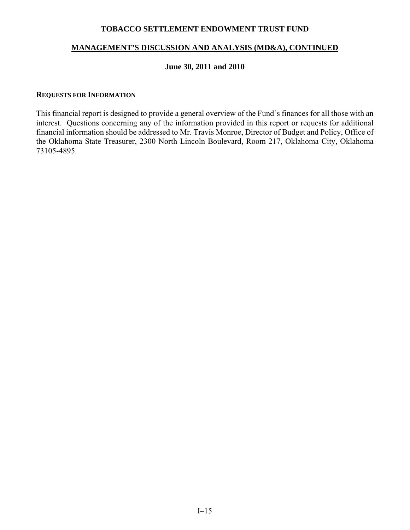#### **MANAGEMENT'S DISCUSSION AND ANALYSIS (MD&A), CONTINUED**

#### **June 30, 2011 and 2010**

#### **REQUESTS FOR INFORMATION**

This financial report is designed to provide a general overview of the Fund's finances for all those with an interest. Questions concerning any of the information provided in this report or requests for additional financial information should be addressed to Mr. Travis Monroe, Director of Budget and Policy, Office of the Oklahoma State Treasurer, 2300 North Lincoln Boulevard, Room 217, Oklahoma City, Oklahoma 73105-4895.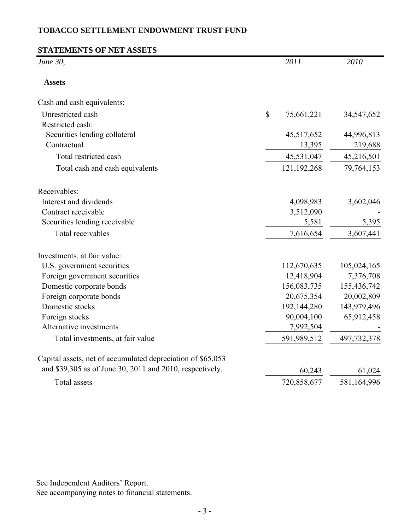# **STATEMENTS OF NET ASSETS**

| June 30,                                                    | 2011             | 2010        |
|-------------------------------------------------------------|------------------|-------------|
| <b>Assets</b>                                               |                  |             |
| Cash and cash equivalents:                                  |                  |             |
| Unrestricted cash                                           | \$<br>75,661,221 | 34,547,652  |
| Restricted cash:                                            |                  |             |
| Securities lending collateral                               | 45,517,652       | 44,996,813  |
| Contractual                                                 | 13,395           | 219,688     |
| Total restricted cash                                       | 45,531,047       | 45,216,501  |
| Total cash and cash equivalents                             | 121, 192, 268    | 79,764,153  |
| Receivables:                                                |                  |             |
| Interest and dividends                                      | 4,098,983        | 3,602,046   |
| Contract receivable                                         | 3,512,090        |             |
| Securities lending receivable                               | 5,581            | 5,395       |
| Total receivables                                           | 7,616,654        | 3,607,441   |
| Investments, at fair value:                                 |                  |             |
| U.S. government securities                                  | 112,670,635      | 105,024,165 |
| Foreign government securities                               | 12,418,904       | 7,376,708   |
| Domestic corporate bonds                                    | 156,083,735      | 155,436,742 |
| Foreign corporate bonds                                     | 20,675,354       | 20,002,809  |
| Domestic stocks                                             | 192,144,280      | 143,979,496 |
| Foreign stocks                                              | 90,004,100       | 65,912,458  |
| Alternative investments                                     | 7,992,504        |             |
| Total investments, at fair value                            | 591,989,512      | 497,732,378 |
| Capital assets, net of accumulated depreciation of \$65,053 |                  |             |
| and \$39,305 as of June 30, 2011 and 2010, respectively.    | 60,243           | 61,024      |
| Total assets                                                | 720,858,677      | 581,164,996 |

See Independent Auditors' Report.

See accompanying notes to financial statements.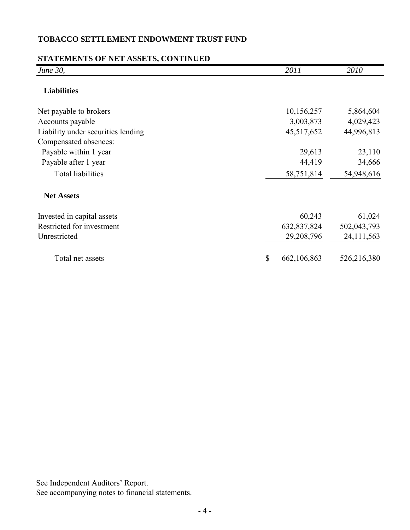# **STATEMENTS OF NET ASSETS, CONTINUED**

| June 30,                           | 2011              | 2010         |
|------------------------------------|-------------------|--------------|
| <b>Liabilities</b>                 |                   |              |
| Net payable to brokers             | 10,156,257        | 5,864,604    |
| Accounts payable                   | 3,003,873         | 4,029,423    |
| Liability under securities lending | 45,517,652        | 44,996,813   |
| Compensated absences:              |                   |              |
| Payable within 1 year              | 29,613            | 23,110       |
| Payable after 1 year               | 44,419            | 34,666       |
| Total liabilities                  | 58,751,814        | 54,948,616   |
| <b>Net Assets</b>                  |                   |              |
| Invested in capital assets         | 60,243            | 61,024       |
| Restricted for investment          | 632,837,824       | 502,043,793  |
| Unrestricted                       | 29,208,796        | 24, 111, 563 |
| Total net assets                   | 662,106,863<br>\$ | 526,216,380  |

See Independent Auditors' Report. See accompanying notes to financial statements.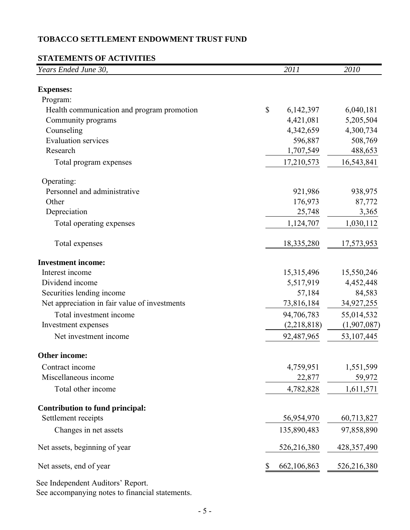# *Years Ended June 30, 2011 2010* **Expenses:** Program: Health communication and program promotion  $\qquad$   $\qquad$  6,142,397 6,040,181 Community programs 4,421,081 5,205,504 Counseling 4,342,659 4,300,734 Evaluation services 508,769 Research 1,707,549 488,653 Total program expenses 17,210,573 16,543,841 Operating: Personnel and administrative 921,986 938,975 Other 176,973 87,772 Depreciation 25,748 3,365 Total operating expenses 1,124,707 1,030,112 Total expenses 18,335,280 17,573,953 **Investment income:** Interest income 15,315,496 15,550,246 Dividend income 5,517,919 4,452,448 Securities lending income 57,184 84,583 Net appreciation in fair value of investments 73,816,184 34,927,255 Total investment income 94,706,783 55,014,532 Investment expenses (2,218,818) (1,907,087) Net investment income 92,487,965 53,107,445 **Other income: Contract income 4,759,951** 1,551,599 Miscellaneous income 22,877 59,972 Total other income  $4,782,828$  1,611,571 **Contribution to fund principal:** Settlement receipts 60,713,827 Changes in net assets 135,890,483 97,858,890 Net assets, beginning of year 526,216,380 428,357,490 Net assets, end of year 662,106,863 \$ 526,216,380

#### **STATEMENTS OF ACTIVITIES**

See Independent Auditors' Report. See accompanying notes to financial statements.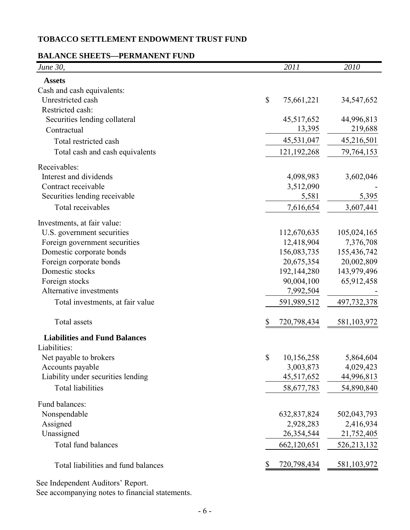## **BALANCE SHEETS—PERMANENT FUND**

| 34,547,652<br>44,996,813<br>219,688<br>45,216,501 |
|---------------------------------------------------|
|                                                   |
|                                                   |
|                                                   |
|                                                   |
|                                                   |
|                                                   |
|                                                   |
| 79,764,153                                        |
|                                                   |
| 3,602,046                                         |
|                                                   |
| 5,395                                             |
| 3,607,441                                         |
|                                                   |
| 105,024,165                                       |
| 7,376,708                                         |
| 155,436,742                                       |
| 20,002,809                                        |
| 143,979,496                                       |
| 65,912,458                                        |
|                                                   |
| 497,732,378                                       |
| 581,103,972                                       |
|                                                   |
|                                                   |
| 5,864,604                                         |
| 4,029,423                                         |
| 44,996,813                                        |
| 54,890,840                                        |
|                                                   |
| 502,043,793                                       |
| 2,416,934                                         |
| 21,752,405                                        |
| 526, 213, 132                                     |
| 581,103,972                                       |
|                                                   |

See Independent Auditors' Report.

See accompanying notes to financial statements.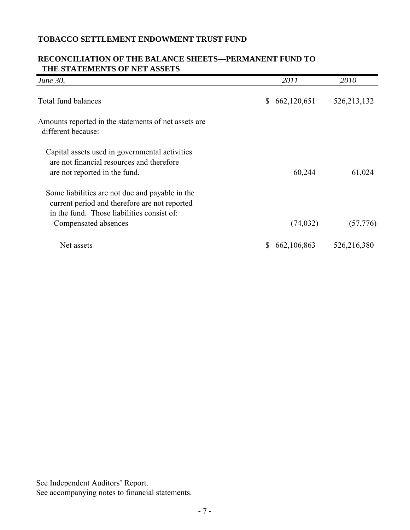## **RECONCILIATION OF THE BALANCE SHEETS—PERMANENT FUND TO THE STATEMENTS OF NET ASSETS**

| <i>June 30,</i>                                                                                                                                | 2011                        | 2010          |
|------------------------------------------------------------------------------------------------------------------------------------------------|-----------------------------|---------------|
| Total fund balances                                                                                                                            | 662,120,651<br>$\mathbb{S}$ | 526, 213, 132 |
| Amounts reported in the statements of net assets are<br>different because:                                                                     |                             |               |
| Capital assets used in governmental activities<br>are not financial resources and therefore<br>are not reported in the fund.                   | 60,244                      | 61,024        |
| Some liabilities are not due and payable in the<br>current period and therefore are not reported<br>in the fund. Those liabilities consist of: |                             |               |
| Compensated absences                                                                                                                           | (74, 032)                   | (57, 776)     |
| Net assets                                                                                                                                     | 662,106,863                 | 526,216,380   |

See Independent Auditors' Report. See accompanying notes to financial statements.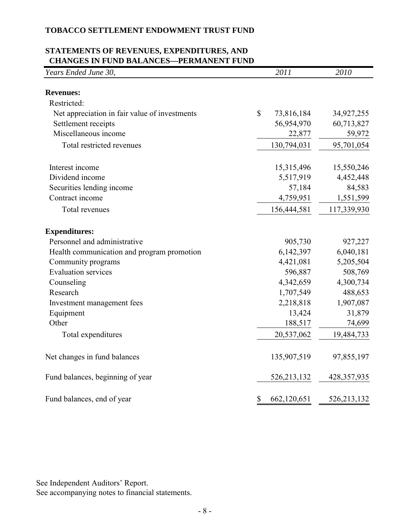# **STATEMENTS OF REVENUES, EXPENDITURES, AND CHANGES IN FUND BALANCES—PERMANENT FUND**

| Years Ended June 30,                          | 2011                       | 2010          |
|-----------------------------------------------|----------------------------|---------------|
| <b>Revenues:</b>                              |                            |               |
| Restricted:                                   |                            |               |
| Net appreciation in fair value of investments | $\mathbb{S}$<br>73,816,184 | 34,927,255    |
| Settlement receipts                           | 56,954,970                 | 60,713,827    |
| Miscellaneous income                          | 22,877                     | 59,972        |
| Total restricted revenues                     | 130,794,031                | 95,701,054    |
| Interest income                               | 15,315,496                 | 15,550,246    |
| Dividend income                               | 5,517,919                  | 4,452,448     |
| Securities lending income                     | 57,184                     | 84,583        |
| Contract income                               | 4,759,951                  | 1,551,599     |
| Total revenues                                | 156,444,581                | 117,339,930   |
| <b>Expenditures:</b>                          |                            |               |
| Personnel and administrative                  | 905,730                    | 927,227       |
| Health communication and program promotion    | 6,142,397                  | 6,040,181     |
| Community programs                            | 4,421,081                  | 5,205,504     |
| <b>Evaluation services</b>                    | 596,887                    | 508,769       |
| Counseling                                    | 4,342,659                  | 4,300,734     |
| Research                                      | 1,707,549                  | 488,653       |
| Investment management fees                    | 2,218,818                  | 1,907,087     |
| Equipment                                     | 13,424                     | 31,879        |
| Other                                         | 188,517                    | 74,699        |
| Total expenditures                            | 20,537,062                 | 19,484,733    |
| Net changes in fund balances                  | 135,907,519                | 97,855,197    |
| Fund balances, beginning of year              | 526,213,132                | 428, 357, 935 |
| Fund balances, end of year                    | \$<br>662,120,651          | 526, 213, 132 |

See Independent Auditors' Report.

See accompanying notes to financial statements.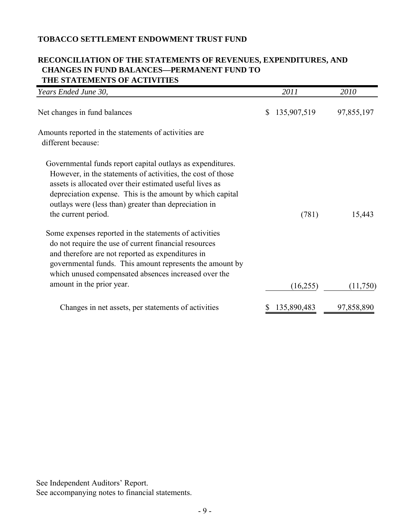# **RECONCILIATION OF THE STATEMENTS OF REVENUES, EXPENDITURES, AND CHANGES IN FUND BALANCES—PERMANENT FUND TO THE STATEMENTS OF ACTIVITIES**

| Years Ended June 30,                                                                                                                                                                                                                                                                                                               | 2011              | 2010       |
|------------------------------------------------------------------------------------------------------------------------------------------------------------------------------------------------------------------------------------------------------------------------------------------------------------------------------------|-------------------|------------|
| Net changes in fund balances                                                                                                                                                                                                                                                                                                       | \$<br>135,907,519 | 97,855,197 |
| Amounts reported in the statements of activities are.<br>different because:                                                                                                                                                                                                                                                        |                   |            |
| Governmental funds report capital outlays as expenditures.<br>However, in the statements of activities, the cost of those<br>assets is allocated over their estimated useful lives as<br>depreciation expense. This is the amount by which capital<br>outlays were (less than) greater than depreciation in<br>the current period. | (781)             | 15,443     |
| Some expenses reported in the statements of activities<br>do not require the use of current financial resources<br>and therefore are not reported as expenditures in<br>governmental funds. This amount represents the amount by<br>which unused compensated absences increased over the                                           |                   |            |
| amount in the prior year.                                                                                                                                                                                                                                                                                                          | (16,255)          | (11,750)   |
| Changes in net assets, per statements of activities                                                                                                                                                                                                                                                                                | 135,890,483       | 97,858,890 |

See Independent Auditors' Report. See accompanying notes to financial statements.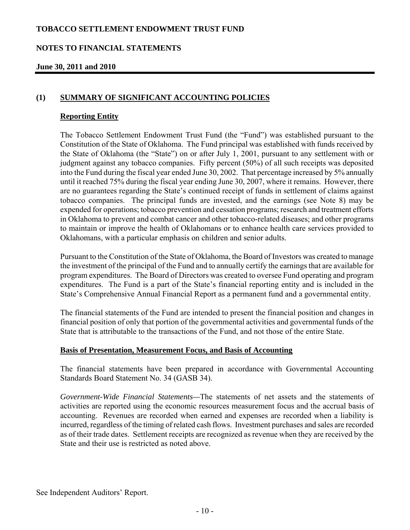## **NOTES TO FINANCIAL STATEMENTS**

#### **June 30, 2011 and 2010**

## **(1) SUMMARY OF SIGNIFICANT ACCOUNTING POLICIES**

#### **Reporting Entity**

The Tobacco Settlement Endowment Trust Fund (the "Fund") was established pursuant to the Constitution of the State of Oklahoma. The Fund principal was established with funds received by the State of Oklahoma (the "State") on or after July 1, 2001, pursuant to any settlement with or judgment against any tobacco companies. Fifty percent (50%) of all such receipts was deposited into the Fund during the fiscal year ended June 30, 2002. That percentage increased by 5% annually until it reached 75% during the fiscal year ending June 30, 2007, where it remains. However, there are no guarantees regarding the State's continued receipt of funds in settlement of claims against tobacco companies. The principal funds are invested, and the earnings (see Note 8) may be expended for operations; tobacco prevention and cessation programs; research and treatment efforts in Oklahoma to prevent and combat cancer and other tobacco-related diseases; and other programs to maintain or improve the health of Oklahomans or to enhance health care services provided to Oklahomans, with a particular emphasis on children and senior adults.

Pursuant to the Constitution of the State of Oklahoma, the Board of Investors was created to manage the investment of the principal of the Fund and to annually certify the earnings that are available for program expenditures. The Board of Directors was created to oversee Fund operating and program expenditures. The Fund is a part of the State's financial reporting entity and is included in the State's Comprehensive Annual Financial Report as a permanent fund and a governmental entity.

The financial statements of the Fund are intended to present the financial position and changes in financial position of only that portion of the governmental activities and governmental funds of the State that is attributable to the transactions of the Fund, and not those of the entire State.

## **Basis of Presentation, Measurement Focus, and Basis of Accounting**

The financial statements have been prepared in accordance with Governmental Accounting Standards Board Statement No. 34 (GASB 34).

*Government-Wide Financial Statements—*The statements of net assets and the statements of activities are reported using the economic resources measurement focus and the accrual basis of accounting. Revenues are recorded when earned and expenses are recorded when a liability is incurred, regardless of the timing of related cash flows. Investment purchases and sales are recorded as of their trade dates. Settlement receipts are recognized as revenue when they are received by the State and their use is restricted as noted above.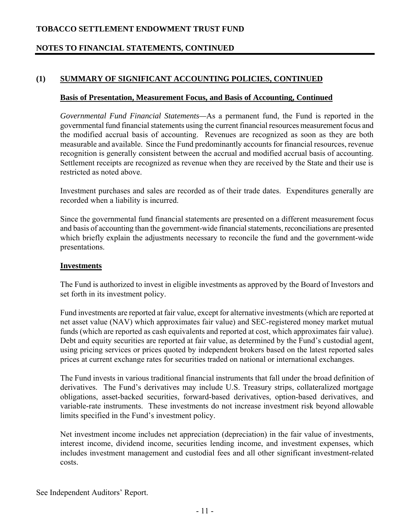# **NOTES TO FINANCIAL STATEMENTS, CONTINUED**

## **(1) SUMMARY OF SIGNIFICANT ACCOUNTING POLICIES, CONTINUED**

#### **Basis of Presentation, Measurement Focus, and Basis of Accounting, Continued**

*Governmental Fund Financial Statements—*As a permanent fund, the Fund is reported in the governmental fund financial statements using the current financial resources measurement focus and the modified accrual basis of accounting. Revenues are recognized as soon as they are both measurable and available. Since the Fund predominantly accounts for financial resources, revenue recognition is generally consistent between the accrual and modified accrual basis of accounting. Settlement receipts are recognized as revenue when they are received by the State and their use is restricted as noted above.

Investment purchases and sales are recorded as of their trade dates. Expenditures generally are recorded when a liability is incurred.

Since the governmental fund financial statements are presented on a different measurement focus and basis of accounting than the government-wide financial statements, reconciliations are presented which briefly explain the adjustments necessary to reconcile the fund and the government-wide presentations.

#### **Investments**

The Fund is authorized to invest in eligible investments as approved by the Board of Investors and set forth in its investment policy.

Fund investments are reported at fair value, except for alternative investments (which are reported at net asset value (NAV) which approximates fair value) and SEC-registered money market mutual funds (which are reported as cash equivalents and reported at cost, which approximates fair value). Debt and equity securities are reported at fair value, as determined by the Fund's custodial agent, using pricing services or prices quoted by independent brokers based on the latest reported sales prices at current exchange rates for securities traded on national or international exchanges.

The Fund invests in various traditional financial instruments that fall under the broad definition of derivatives. The Fund's derivatives may include U.S. Treasury strips, collateralized mortgage obligations, asset-backed securities, forward-based derivatives, option-based derivatives, and variable-rate instruments. These investments do not increase investment risk beyond allowable limits specified in the Fund's investment policy.

Net investment income includes net appreciation (depreciation) in the fair value of investments, interest income, dividend income, securities lending income, and investment expenses, which includes investment management and custodial fees and all other significant investment-related costs.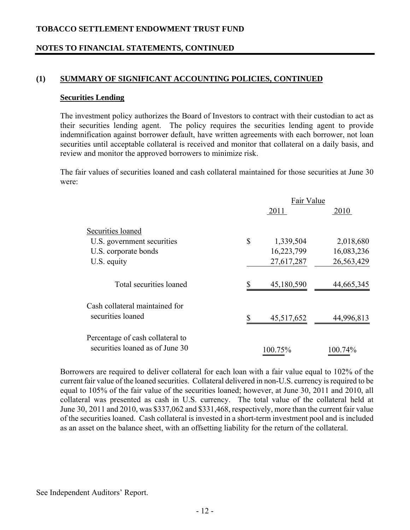## **NOTES TO FINANCIAL STATEMENTS, CONTINUED**

#### **(1) SUMMARY OF SIGNIFICANT ACCOUNTING POLICIES, CONTINUED**

#### **Securities Lending**

The investment policy authorizes the Board of Investors to contract with their custodian to act as their securities lending agent. The policy requires the securities lending agent to provide indemnification against borrower default, have written agreements with each borrower, not loan securities until acceptable collateral is received and monitor that collateral on a daily basis, and review and monitor the approved borrowers to minimize risk.

The fair values of securities loaned and cash collateral maintained for those securities at June 30 were:

|                                                                     | Fair Value |            |            |  |  |
|---------------------------------------------------------------------|------------|------------|------------|--|--|
|                                                                     |            | 2011       | 2010       |  |  |
| Securities loaned                                                   |            |            |            |  |  |
| U.S. government securities                                          | \$         | 1,339,504  | 2,018,680  |  |  |
| U.S. corporate bonds                                                |            | 16,223,799 | 16,083,236 |  |  |
| U.S. equity                                                         |            | 27,617,287 | 26,563,429 |  |  |
| Total securities loaned                                             | S          | 45,180,590 | 44,665,345 |  |  |
| Cash collateral maintained for                                      |            |            |            |  |  |
| securities loaned                                                   |            | 45,517,652 | 44,996,813 |  |  |
| Percentage of cash collateral to<br>securities loaned as of June 30 |            | 100.75%    | 100.74%    |  |  |

Borrowers are required to deliver collateral for each loan with a fair value equal to 102% of the current fair value of the loaned securities. Collateral delivered in non-U.S. currency is required to be equal to 105% of the fair value of the securities loaned; however, at June 30, 2011 and 2010, all collateral was presented as cash in U.S. currency. The total value of the collateral held at June 30, 2011 and 2010, was \$337,062 and \$331,468, respectively, more than the current fair value of the securities loaned. Cash collateral is invested in a short-term investment pool and is included as an asset on the balance sheet, with an offsetting liability for the return of the collateral.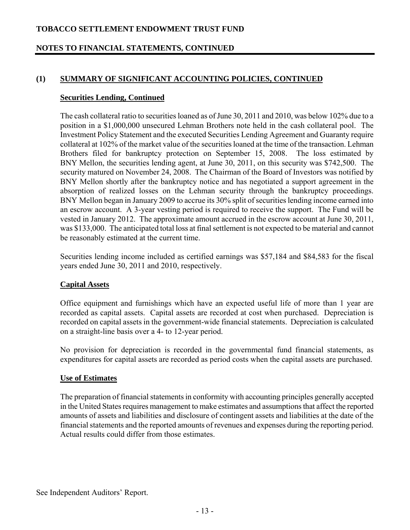# **NOTES TO FINANCIAL STATEMENTS, CONTINUED**

## **(1) SUMMARY OF SIGNIFICANT ACCOUNTING POLICIES, CONTINUED**

#### **Securities Lending, Continued**

The cash collateral ratio to securities loaned as of June 30, 2011 and 2010, was below 102% due to a position in a \$1,000,000 unsecured Lehman Brothers note held in the cash collateral pool. The Investment Policy Statement and the executed Securities Lending Agreement and Guaranty require collateral at 102% of the market value of the securities loaned at the time of the transaction. Lehman Brothers filed for bankruptcy protection on September 15, 2008. The loss estimated by BNY Mellon, the securities lending agent, at June 30, 2011, on this security was \$742,500. The security matured on November 24, 2008. The Chairman of the Board of Investors was notified by BNY Mellon shortly after the bankruptcy notice and has negotiated a support agreement in the absorption of realized losses on the Lehman security through the bankruptcy proceedings. BNY Mellon began in January 2009 to accrue its 30% split of securities lending income earned into an escrow account. A 3-year vesting period is required to receive the support. The Fund will be vested in January 2012. The approximate amount accrued in the escrow account at June 30, 2011, was \$133,000. The anticipated total loss at final settlement is not expected to be material and cannot be reasonably estimated at the current time.

Securities lending income included as certified earnings was \$57,184 and \$84,583 for the fiscal years ended June 30, 2011 and 2010, respectively.

## **Capital Assets**

Office equipment and furnishings which have an expected useful life of more than 1 year are recorded as capital assets. Capital assets are recorded at cost when purchased. Depreciation is recorded on capital assets in the government-wide financial statements. Depreciation is calculated on a straight-line basis over a 4- to 12-year period.

No provision for depreciation is recorded in the governmental fund financial statements, as expenditures for capital assets are recorded as period costs when the capital assets are purchased.

#### **Use of Estimates**

The preparation of financial statements in conformity with accounting principles generally accepted in the United States requires management to make estimates and assumptions that affect the reported amounts of assets and liabilities and disclosure of contingent assets and liabilities at the date of the financial statements and the reported amounts of revenues and expenses during the reporting period. Actual results could differ from those estimates.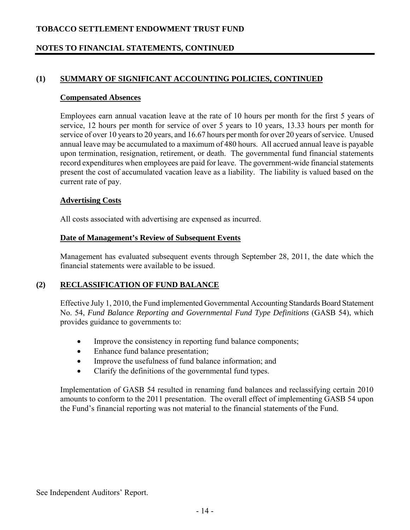# **NOTES TO FINANCIAL STATEMENTS, CONTINUED**

#### **(1) SUMMARY OF SIGNIFICANT ACCOUNTING POLICIES, CONTINUED**

#### **Compensated Absences**

Employees earn annual vacation leave at the rate of 10 hours per month for the first 5 years of service, 12 hours per month for service of over 5 years to 10 years, 13.33 hours per month for service of over 10 years to 20 years, and 16.67 hours per month for over 20 years of service. Unused annual leave may be accumulated to a maximum of 480 hours. All accrued annual leave is payable upon termination, resignation, retirement, or death. The governmental fund financial statements record expenditures when employees are paid for leave. The government-wide financial statements present the cost of accumulated vacation leave as a liability. The liability is valued based on the current rate of pay.

#### **Advertising Costs**

All costs associated with advertising are expensed as incurred.

#### **Date of Management's Review of Subsequent Events**

Management has evaluated subsequent events through September 28, 2011, the date which the financial statements were available to be issued.

#### **(2) RECLASSIFICATION OF FUND BALANCE**

Effective July 1, 2010, the Fund implemented Governmental Accounting Standards Board Statement No. 54, *Fund Balance Reporting and Governmental Fund Type Definitions* (GASB 54), which provides guidance to governments to:

- Improve the consistency in reporting fund balance components;
- Enhance fund balance presentation;
- Improve the usefulness of fund balance information; and
- Clarify the definitions of the governmental fund types.

Implementation of GASB 54 resulted in renaming fund balances and reclassifying certain 2010 amounts to conform to the 2011 presentation. The overall effect of implementing GASB 54 upon the Fund's financial reporting was not material to the financial statements of the Fund.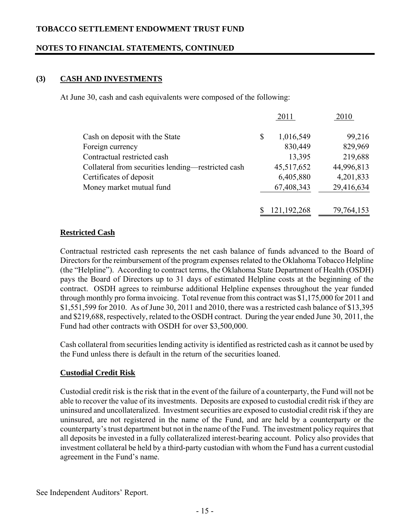# **NOTES TO FINANCIAL STATEMENTS, CONTINUED**

## **(3) CASH AND INVESTMENTS**

At June 30, cash and cash equivalents were composed of the following:

|                                                    | 2011            | 2010       |
|----------------------------------------------------|-----------------|------------|
| Cash on deposit with the State                     | \$<br>1,016,549 | 99,216     |
| Foreign currency                                   | 830,449         | 829,969    |
| Contractual restricted cash                        | 13,395          | 219,688    |
| Collateral from securities lending—restricted cash | 45,517,652      | 44,996,813 |
| Certificates of deposit                            | 6,405,880       | 4,201,833  |
| Money market mutual fund                           | 67,408,343      | 29,416,634 |
|                                                    | 121, 192, 268   | 79,764,153 |

## **Restricted Cash**

Contractual restricted cash represents the net cash balance of funds advanced to the Board of Directors for the reimbursement of the program expenses related to the Oklahoma Tobacco Helpline (the "Helpline"). According to contract terms, the Oklahoma State Department of Health (OSDH) pays the Board of Directors up to 31 days of estimated Helpline costs at the beginning of the contract. OSDH agrees to reimburse additional Helpline expenses throughout the year funded through monthly pro forma invoicing. Total revenue from this contract was \$1,175,000 for 2011 and \$1,551,599 for 2010. As of June 30, 2011 and 2010, there was a restricted cash balance of \$13,395 and \$219,688, respectively, related to the OSDH contract. During the year ended June 30, 2011, the Fund had other contracts with OSDH for over \$3,500,000.

Cash collateral from securities lending activity is identified as restricted cash as it cannot be used by the Fund unless there is default in the return of the securities loaned.

## **Custodial Credit Risk**

Custodial credit risk is the risk that in the event of the failure of a counterparty, the Fund will not be able to recover the value of its investments. Deposits are exposed to custodial credit risk if they are uninsured and uncollateralized. Investment securities are exposed to custodial credit risk if they are uninsured, are not registered in the name of the Fund, and are held by a counterparty or the counterparty's trust department but not in the name of the Fund. The investment policy requires that all deposits be invested in a fully collateralized interest-bearing account. Policy also provides that investment collateral be held by a third-party custodian with whom the Fund has a current custodial agreement in the Fund's name.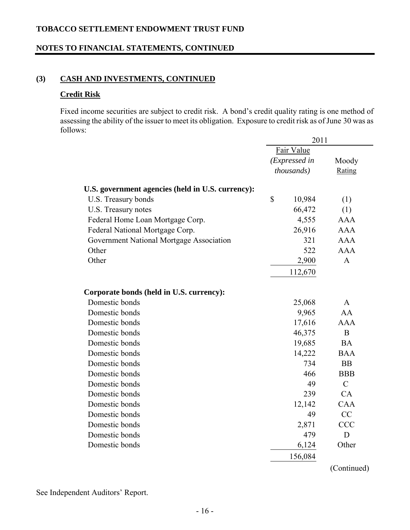## **NOTES TO FINANCIAL STATEMENTS, CONTINUED**

## **(3) CASH AND INVESTMENTS, CONTINUED**

#### **Credit Risk**

Fixed income securities are subject to credit risk. A bond's credit quality rating is one method of assessing the ability of the issuer to meet its obligation. Exposure to credit risk as of June 30 was as follows:

|                                                   | 2011       |               |               |
|---------------------------------------------------|------------|---------------|---------------|
|                                                   | Fair Value |               |               |
|                                                   |            | (Expressed in | Moody         |
|                                                   |            | thousands)    | Rating        |
| U.S. government agencies (held in U.S. currency): |            |               |               |
| U.S. Treasury bonds                               | \$         | 10,984        | (1)           |
| U.S. Treasury notes                               |            | 66,472        | (1)           |
| Federal Home Loan Mortgage Corp.                  |            | 4,555         | <b>AAA</b>    |
| Federal National Mortgage Corp.                   |            | 26,916        | <b>AAA</b>    |
| Government National Mortgage Association          |            | 321           | <b>AAA</b>    |
| Other                                             |            | 522           | <b>AAA</b>    |
| Other                                             |            | 2,900         | $\mathbf{A}$  |
|                                                   |            |               |               |
|                                                   |            | 112,670       |               |
| Corporate bonds (held in U.S. currency):          |            |               |               |
| Domestic bonds                                    |            | 25,068        | $\mathbf{A}$  |
| Domestic bonds                                    |            | 9,965         | AA            |
| Domestic bonds                                    |            | 17,616        | <b>AAA</b>    |
| Domestic bonds                                    |            | 46,375        | $\bf{B}$      |
| Domestic bonds                                    |            | 19,685        | <b>BA</b>     |
| Domestic bonds                                    |            | 14,222        | <b>BAA</b>    |
| Domestic bonds                                    |            | 734           | <b>BB</b>     |
| Domestic bonds                                    |            | 466           | <b>BBB</b>    |
| Domestic bonds                                    |            | 49            | $\mathcal{C}$ |
| Domestic bonds                                    |            | 239           | CA            |
| Domestic bonds                                    |            | 12,142        | CAA           |
| Domestic bonds                                    |            | 49            | CC            |
| Domestic bonds                                    |            | 2,871         | <b>CCC</b>    |
| Domestic bonds                                    |            | 479           | D             |
| Domestic bonds                                    |            | 6,124         | Other         |
|                                                   |            | 156,084       |               |
|                                                   |            |               | (Continued)   |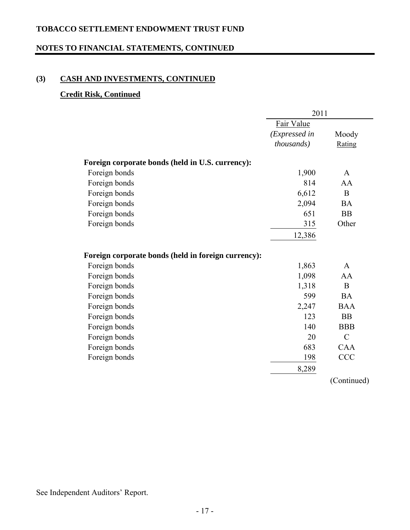## **NOTES TO FINANCIAL STATEMENTS, CONTINUED**

# **(3) CASH AND INVESTMENTS, CONTINUED**

# **Credit Risk, Continued**

|                                                     | 2011               |               |  |
|-----------------------------------------------------|--------------------|---------------|--|
|                                                     | Fair Value         |               |  |
|                                                     | (Expressed in      | Moody         |  |
|                                                     | <i>thousands</i> ) | Rating        |  |
| Foreign corporate bonds (held in U.S. currency):    |                    |               |  |
| Foreign bonds                                       | 1,900              | $\mathbf{A}$  |  |
| Foreign bonds                                       | 814                | AA            |  |
| Foreign bonds                                       | 6,612              | B             |  |
| Foreign bonds                                       | 2,094              | <b>BA</b>     |  |
| Foreign bonds                                       | 651                | <b>BB</b>     |  |
| Foreign bonds                                       | 315                | Other         |  |
|                                                     | 12,386             |               |  |
| Foreign corporate bonds (held in foreign currency): |                    |               |  |
| Foreign bonds                                       | 1,863              | $\mathbf{A}$  |  |
| Foreign bonds                                       | 1,098              | AA            |  |
| Foreign bonds                                       | 1,318              | B             |  |
| Foreign bonds                                       | 599                | <b>BA</b>     |  |
| Foreign bonds                                       | 2,247              | <b>BAA</b>    |  |
| Foreign bonds                                       | 123                | <b>BB</b>     |  |
| Foreign bonds                                       | 140                | <b>BBB</b>    |  |
| Foreign bonds                                       | 20                 | $\mathcal{C}$ |  |
| Foreign bonds                                       | 683                | <b>CAA</b>    |  |
| Foreign bonds                                       | 198                | <b>CCC</b>    |  |
|                                                     | 8,289              |               |  |
|                                                     |                    | (Continued)   |  |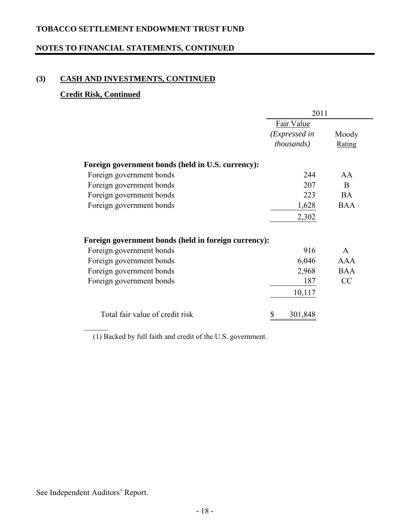# **NOTES TO FINANCIAL STATEMENTS, CONTINUED**

# **(3) CASH AND INVESTMENTS, CONTINUED**

## **Credit Risk, Continued**

|                                                      | 2011               |               |
|------------------------------------------------------|--------------------|---------------|
|                                                      | Fair Value         |               |
|                                                      | (Expressed in      | Moody         |
|                                                      | <i>thousands</i> ) | <b>Rating</b> |
| Foreign government bonds (held in U.S. currency):    |                    |               |
| Foreign government bonds                             | 244                | AA            |
| Foreign government bonds                             | 207                | $\mathbf{B}$  |
| Foreign government bonds                             | 223                | <b>BA</b>     |
| Foreign government bonds                             | 1,628              | <b>BAA</b>    |
|                                                      | 2,302              |               |
|                                                      |                    |               |
| Foreign government bonds (held in foreign currency): |                    |               |
| Foreign government bonds                             | 916                | A             |
| Foreign government bonds                             | 6,046              | A A A         |
| Foreign government bonds                             | 2,968              | <b>BAA</b>    |
| Foreign government bonds                             | 187                | CC            |
|                                                      | 10,117             |               |
| Total fair value of credit risk                      |                    |               |
|                                                      | 301,848<br>\$      |               |
|                                                      |                    |               |

(1) Backed by full faith and credit of the U.S. government.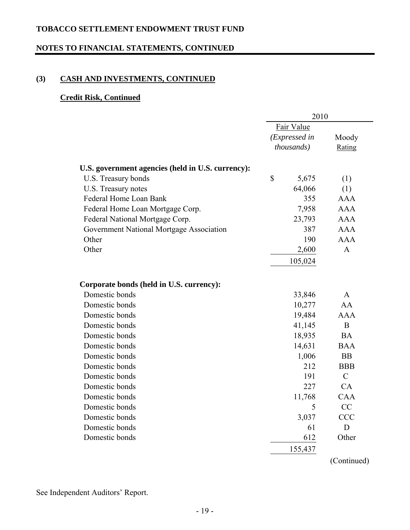## **NOTES TO FINANCIAL STATEMENTS, CONTINUED**

# **(3) CASH AND INVESTMENTS, CONTINUED**

# **Credit Risk, Continued**

|                                                   | 2010                        |            |               |
|---------------------------------------------------|-----------------------------|------------|---------------|
|                                                   |                             | Fair Value |               |
|                                                   | (Expressed in<br>thousands) |            | Moody         |
|                                                   |                             |            | Rating        |
|                                                   |                             |            |               |
| U.S. government agencies (held in U.S. currency): |                             |            |               |
| U.S. Treasury bonds                               | \$                          | 5,675      | (1)           |
| U.S. Treasury notes                               |                             | 64,066     | (1)           |
| Federal Home Loan Bank                            |                             | 355        | <b>AAA</b>    |
| Federal Home Loan Mortgage Corp.                  |                             | 7,958      | <b>AAA</b>    |
| Federal National Mortgage Corp.                   |                             | 23,793     | <b>AAA</b>    |
| Government National Mortgage Association          |                             | 387        | <b>AAA</b>    |
| Other                                             |                             | 190        | <b>AAA</b>    |
| Other                                             |                             | 2,600      | $\mathsf{A}$  |
|                                                   |                             | 105,024    |               |
|                                                   |                             |            |               |
| Corporate bonds (held in U.S. currency):          |                             |            |               |
| Domestic bonds                                    |                             | 33,846     | A             |
| Domestic bonds                                    |                             | 10,277     | AA            |
| Domestic bonds                                    |                             | 19,484     | <b>AAA</b>    |
| Domestic bonds                                    |                             | 41,145     | B             |
| Domestic bonds                                    |                             | 18,935     | <b>BA</b>     |
| Domestic bonds                                    |                             | 14,631     | <b>BAA</b>    |
| Domestic bonds                                    |                             | 1,006      | <b>BB</b>     |
| Domestic bonds                                    |                             | 212        | <b>BBB</b>    |
| Domestic bonds                                    |                             | 191        | $\mathcal{C}$ |
| Domestic bonds                                    |                             | 227        | CA            |
| Domestic bonds                                    |                             | 11,768     | <b>CAA</b>    |
| Domestic bonds                                    |                             | 5          | CC            |
| Domestic bonds                                    |                             | 3,037      | <b>CCC</b>    |
| Domestic bonds                                    |                             | 61         | D             |
| Domestic bonds                                    |                             | 612        | Other         |
|                                                   |                             | 155,437    |               |

(Continued)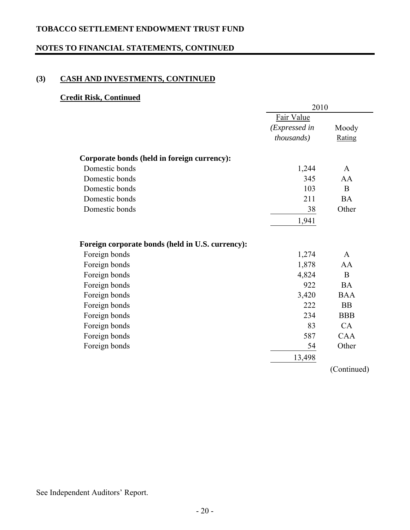## **NOTES TO FINANCIAL STATEMENTS, CONTINUED**

# **(3) CASH AND INVESTMENTS, CONTINUED**

# **Credit Risk, Continued**

|                                                  | 2010          |             |  |
|--------------------------------------------------|---------------|-------------|--|
|                                                  | Fair Value    |             |  |
|                                                  | (Expressed in | Moody       |  |
|                                                  | thousands)    | Rating      |  |
| Corporate bonds (held in foreign currency):      |               |             |  |
| Domestic bonds                                   | 1,244         | A           |  |
| Domestic bonds                                   | 345           | AA          |  |
| Domestic bonds                                   | 103           | B           |  |
| Domestic bonds                                   | 211           | <b>BA</b>   |  |
| Domestic bonds                                   | 38            | Other       |  |
|                                                  | 1,941         |             |  |
| Foreign corporate bonds (held in U.S. currency): |               |             |  |
| Foreign bonds                                    | 1,274         | A           |  |
| Foreign bonds                                    | 1,878         | AA          |  |
| Foreign bonds                                    | 4,824         | B           |  |
| Foreign bonds                                    | 922           | <b>BA</b>   |  |
| Foreign bonds                                    | 3,420         | <b>BAA</b>  |  |
| Foreign bonds                                    | 222           | <b>BB</b>   |  |
| Foreign bonds                                    | 234           | <b>BBB</b>  |  |
| Foreign bonds                                    | 83            | CA          |  |
| Foreign bonds                                    | 587           | <b>CAA</b>  |  |
| Foreign bonds                                    | 54            | Other       |  |
|                                                  | 13,498        |             |  |
|                                                  |               | (Continued) |  |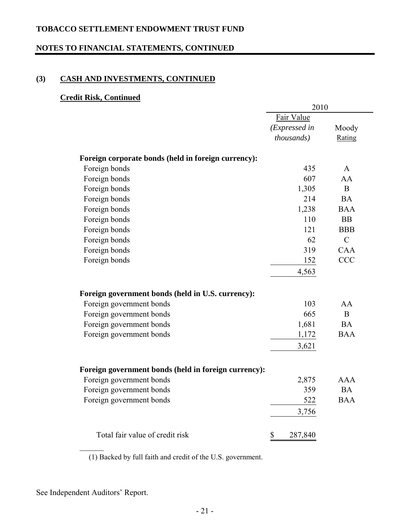# **NOTES TO FINANCIAL STATEMENTS, CONTINUED**

# **(3) CASH AND INVESTMENTS, CONTINUED**

# **Credit Risk, Continued**

|                                                      | 2010          |               |  |
|------------------------------------------------------|---------------|---------------|--|
|                                                      | Fair Value    |               |  |
|                                                      | (Expressed in | Moody         |  |
|                                                      | thousands)    | Rating        |  |
| Foreign corporate bonds (held in foreign currency):  |               |               |  |
| Foreign bonds                                        | 435           | $\mathsf{A}$  |  |
| Foreign bonds                                        | 607           | AA            |  |
| Foreign bonds                                        | 1,305         | B             |  |
| Foreign bonds                                        | 214           | <b>BA</b>     |  |
| Foreign bonds                                        | 1,238         | <b>BAA</b>    |  |
| Foreign bonds                                        | 110           | <b>BB</b>     |  |
| Foreign bonds                                        | 121           | <b>BBB</b>    |  |
| Foreign bonds                                        | 62            | $\mathcal{C}$ |  |
| Foreign bonds                                        | 319           | <b>CAA</b>    |  |
| Foreign bonds                                        | 152           | <b>CCC</b>    |  |
|                                                      | 4,563         |               |  |
| Foreign government bonds (held in U.S. currency):    |               |               |  |
| Foreign government bonds                             | 103           | AA            |  |
| Foreign government bonds                             | 665           | B             |  |
| Foreign government bonds                             | 1,681         | <b>BA</b>     |  |
| Foreign government bonds                             | 1,172         | <b>BAA</b>    |  |
|                                                      | 3,621         |               |  |
|                                                      |               |               |  |
| Foreign government bonds (held in foreign currency): |               |               |  |
| Foreign government bonds                             | 2,875         | <b>AAA</b>    |  |
| Foreign government bonds                             | 359           | <b>BA</b>     |  |
| Foreign government bonds                             | 522           | <b>BAA</b>    |  |
|                                                      | 3,756         |               |  |
| Total fair value of credit risk                      | \$<br>287,840 |               |  |
|                                                      |               |               |  |

(1) Backed by full faith and credit of the U.S. government.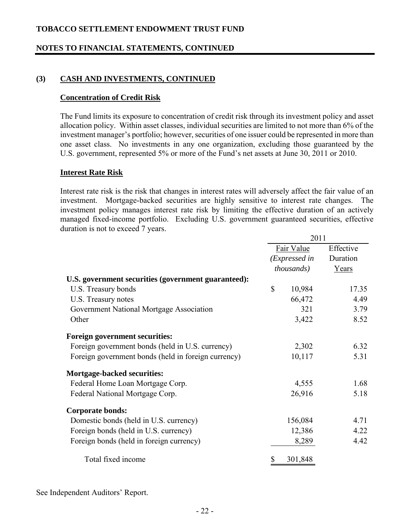# **NOTES TO FINANCIAL STATEMENTS, CONTINUED**

#### **(3) CASH AND INVESTMENTS, CONTINUED**

#### **Concentration of Credit Risk**

The Fund limits its exposure to concentration of credit risk through its investment policy and asset allocation policy. Within asset classes, individual securities are limited to not more than 6% of the investment manager's portfolio; however, securities of one issuer could be represented in more than one asset class. No investments in any one organization, excluding those guaranteed by the U.S. government, represented 5% or more of the Fund's net assets at June 30, 2011 or 2010.

#### **Interest Rate Risk**

Interest rate risk is the risk that changes in interest rates will adversely affect the fair value of an investment. Mortgage-backed securities are highly sensitive to interest rate changes. The investment policy manages interest rate risk by limiting the effective duration of an actively managed fixed-income portfolio. Excluding U.S. government guaranteed securities, effective duration is not to exceed 7 years.  $2011$ 

|                                                     | 20 H         |                    |           |
|-----------------------------------------------------|--------------|--------------------|-----------|
|                                                     |              | <b>Fair Value</b>  | Effective |
|                                                     |              | (Expressed in      | Duration  |
|                                                     |              | <i>thousands</i> ) | Years     |
| U.S. government securities (government guaranteed): |              |                    |           |
| U.S. Treasury bonds                                 | $\mathbb{S}$ | 10,984             | 17.35     |
| U.S. Treasury notes                                 |              | 66,472             | 4.49      |
| Government National Mortgage Association            |              | 321                | 3.79      |
| Other                                               |              | 3,422              | 8.52      |
| Foreign government securities:                      |              |                    |           |
| Foreign government bonds (held in U.S. currency)    |              | 2,302              | 6.32      |
| Foreign government bonds (held in foreign currency) |              | 10,117             | 5.31      |
| <b>Mortgage-backed securities:</b>                  |              |                    |           |
| Federal Home Loan Mortgage Corp.                    |              | 4,555              | 1.68      |
| Federal National Mortgage Corp.                     |              | 26,916             | 5.18      |
| <b>Corporate bonds:</b>                             |              |                    |           |
| Domestic bonds (held in U.S. currency)              |              | 156,084            | 4.71      |
| Foreign bonds (held in U.S. currency)               |              | 12,386             | 4.22      |
| Foreign bonds (held in foreign currency)            |              | 8,289              | 4.42      |
| Total fixed income                                  | \$           | 301,848            |           |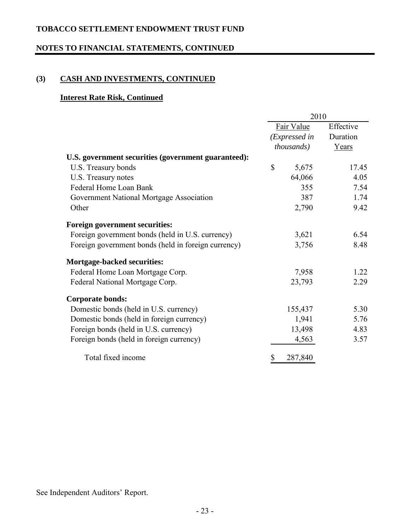## **NOTES TO FINANCIAL STATEMENTS, CONTINUED**

# **(3) CASH AND INVESTMENTS, CONTINUED**

# **Interest Rate Risk, Continued**

|                                                     | 2010          |                    |           |
|-----------------------------------------------------|---------------|--------------------|-----------|
|                                                     | Fair Value    |                    | Effective |
|                                                     | (Expressed in |                    | Duration  |
|                                                     |               | <i>thousands</i> ) | Years     |
| U.S. government securities (government guaranteed): |               |                    |           |
| U.S. Treasury bonds                                 | \$            | 5,675              | 17.45     |
| U.S. Treasury notes                                 |               | 64,066             | 4.05      |
| Federal Home Loan Bank                              |               | 355                | 7.54      |
| Government National Mortgage Association            |               | 387                | 1.74      |
| Other                                               |               | 2,790              | 9.42      |
| Foreign government securities:                      |               |                    |           |
| Foreign government bonds (held in U.S. currency)    |               | 3,621              | 6.54      |
| Foreign government bonds (held in foreign currency) |               | 3,756              | 8.48      |
| <b>Mortgage-backed securities:</b>                  |               |                    |           |
| Federal Home Loan Mortgage Corp.                    |               | 7,958              | 1.22      |
| Federal National Mortgage Corp.                     |               | 23,793             | 2.29      |
| <b>Corporate bonds:</b>                             |               |                    |           |
| Domestic bonds (held in U.S. currency)              |               | 155,437            | 5.30      |
| Domestic bonds (held in foreign currency)           |               | 1,941              | 5.76      |
| Foreign bonds (held in U.S. currency)               |               | 13,498             | 4.83      |
| Foreign bonds (held in foreign currency)            |               | 4,563              | 3.57      |
| Total fixed income                                  | \$            | 287,840            |           |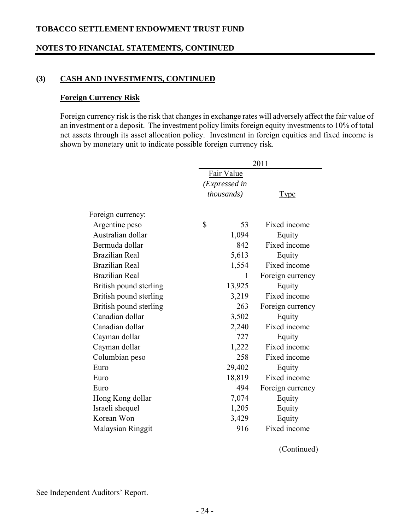## **NOTES TO FINANCIAL STATEMENTS, CONTINUED**

## **(3) CASH AND INVESTMENTS, CONTINUED**

#### **Foreign Currency Risk**

Foreign currency risk is the risk that changes in exchange rates will adversely affect the fair value of an investment or a deposit. The investment policy limits foreign equity investments to 10% of total net assets through its asset allocation policy. Investment in foreign equities and fixed income is shown by monetary unit to indicate possible foreign currency risk.

|                        | 2011         |                    |                  |  |
|------------------------|--------------|--------------------|------------------|--|
|                        | Fair Value   |                    |                  |  |
|                        |              | (Expressed in      |                  |  |
|                        |              | <i>thousands</i> ) | <u>Type</u>      |  |
| Foreign currency:      |              |                    |                  |  |
| Argentine peso         | $\mathbb{S}$ | 53                 | Fixed income     |  |
| Australian dollar      |              | 1,094              | Equity           |  |
| Bermuda dollar         |              | 842                | Fixed income     |  |
| <b>Brazilian Real</b>  |              | 5,613              | Equity           |  |
| <b>Brazilian Real</b>  |              | 1,554              | Fixed income     |  |
| <b>Brazilian Real</b>  |              | 1                  | Foreign currency |  |
| British pound sterling |              | 13,925             | Equity           |  |
| British pound sterling |              | 3,219              | Fixed income     |  |
| British pound sterling |              | 263                | Foreign currency |  |
| Canadian dollar        |              | 3,502              | Equity           |  |
| Canadian dollar        |              | 2,240              | Fixed income     |  |
| Cayman dollar          |              | 727                | Equity           |  |
| Cayman dollar          |              | 1,222              | Fixed income     |  |
| Columbian peso         |              | 258                | Fixed income     |  |
| Euro                   |              | 29,402             | Equity           |  |
| Euro                   |              | 18,819             | Fixed income     |  |
| Euro                   |              | 494                | Foreign currency |  |
| Hong Kong dollar       |              | 7,074              | Equity           |  |
| Israeli shequel        |              | 1,205              | Equity           |  |
| Korean Won             |              | 3,429              | Equity           |  |
|                        |              |                    |                  |  |
| Malaysian Ringgit      |              | 916                | Fixed income     |  |

(Continued)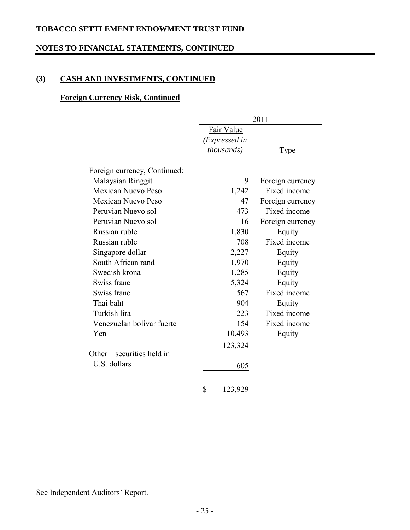## **NOTES TO FINANCIAL STATEMENTS, CONTINUED**

# **(3) CASH AND INVESTMENTS, CONTINUED**

# **Foreign Currency Risk, Continued**

| 2011               |                          |  |  |
|--------------------|--------------------------|--|--|
| Fair Value         |                          |  |  |
| (Expressed in      |                          |  |  |
| <i>thousands</i> ) | <b>Type</b>              |  |  |
|                    |                          |  |  |
| 9                  | Foreign currency         |  |  |
| 1,242              | Fixed income             |  |  |
| 47                 | Foreign currency         |  |  |
| 473                | Fixed income             |  |  |
| 16                 | Foreign currency         |  |  |
| 1,830              | Equity                   |  |  |
| 708                | Fixed income             |  |  |
| 2,227              | Equity                   |  |  |
| 1,970              | Equity                   |  |  |
| 1,285              | Equity                   |  |  |
| 5,324              | Equity                   |  |  |
| 567                | Fixed income             |  |  |
| 904                | Equity                   |  |  |
| 223                | Fixed income             |  |  |
| 154                | Fixed income             |  |  |
| 10,493             | Equity                   |  |  |
|                    |                          |  |  |
|                    |                          |  |  |
| 605                |                          |  |  |
|                    |                          |  |  |
|                    | 123,324<br>\$<br>123,929 |  |  |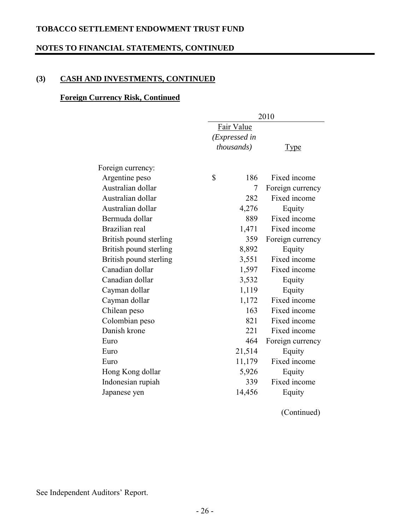# **NOTES TO FINANCIAL STATEMENTS, CONTINUED**

# **(3) CASH AND INVESTMENTS, CONTINUED**

# **Foreign Currency Risk, Continued**

|                        | 2010       |                    |                  |  |  |
|------------------------|------------|--------------------|------------------|--|--|
|                        | Fair Value |                    |                  |  |  |
|                        |            | (Expressed in      |                  |  |  |
|                        |            | <i>thousands</i> ) | <b>Type</b>      |  |  |
| Foreign currency:      |            |                    |                  |  |  |
| Argentine peso         | \$         | 186                | Fixed income     |  |  |
| Australian dollar      |            | 7                  | Foreign currency |  |  |
| Australian dollar      |            | 282                | Fixed income     |  |  |
| Australian dollar      |            | 4,276              | Equity           |  |  |
| Bermuda dollar         |            | 889                | Fixed income     |  |  |
| Brazilian real         |            |                    | Fixed income     |  |  |
|                        |            | 1,471<br>359       |                  |  |  |
| British pound sterling |            |                    | Foreign currency |  |  |
| British pound sterling |            | 8,892              | Equity           |  |  |
| British pound sterling |            | 3,551              | Fixed income     |  |  |
| Canadian dollar        |            | 1,597              | Fixed income     |  |  |
| Canadian dollar        |            | 3,532              | Equity           |  |  |
| Cayman dollar          |            | 1,119              | Equity           |  |  |
| Cayman dollar          |            | 1,172              | Fixed income     |  |  |
| Chilean peso           |            | 163                | Fixed income     |  |  |
| Colombian peso         |            | 821                | Fixed income     |  |  |
| Danish krone           |            | 221                | Fixed income     |  |  |
| Euro                   |            | 464                | Foreign currency |  |  |
| Euro                   |            | 21,514             | Equity           |  |  |
| Euro                   |            | 11,179             | Fixed income     |  |  |
| Hong Kong dollar       |            | 5,926              | Equity           |  |  |
| Indonesian rupiah      |            | 339                | Fixed income     |  |  |
| Japanese yen           |            | 14,456             | Equity           |  |  |

(Continued)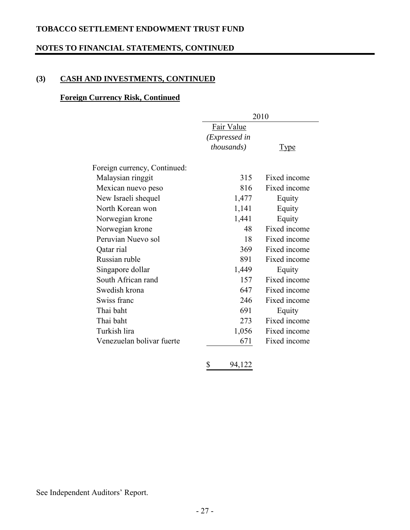## **NOTES TO FINANCIAL STATEMENTS, CONTINUED**

# **(3) CASH AND INVESTMENTS, CONTINUED**

# **Foreign Currency Risk, Continued**

|                              | 2010               |              |  |  |
|------------------------------|--------------------|--------------|--|--|
|                              | Fair Value         |              |  |  |
|                              | (Expressed in      |              |  |  |
|                              | <i>thousands</i> ) | <u>Type</u>  |  |  |
| Foreign currency, Continued: |                    |              |  |  |
| Malaysian ringgit            | 315                | Fixed income |  |  |
| Mexican nuevo peso           | 816                | Fixed income |  |  |
| New Israeli shequel          | 1,477              | Equity       |  |  |
| North Korean won             | 1,141              | Equity       |  |  |
|                              |                    |              |  |  |
| Norwegian krone              | 1,441              | Equity       |  |  |
| Norwegian krone              | 48                 | Fixed income |  |  |
| Peruvian Nuevo sol           | 18                 | Fixed income |  |  |
| Qatar rial                   | 369                | Fixed income |  |  |
| Russian ruble                | 891                | Fixed income |  |  |
| Singapore dollar             | 1,449              | Equity       |  |  |
| South African rand           | 157                | Fixed income |  |  |
| Swedish krona                | 647                | Fixed income |  |  |
| Swiss franc                  | 246                | Fixed income |  |  |
| Thai baht                    | 691                | Equity       |  |  |
| Thai baht                    | 273                | Fixed income |  |  |
| Turkish lira                 | 1,056              | Fixed income |  |  |
| Venezuelan bolivar fuerte    | 671                | Fixed income |  |  |
|                              | \$<br>94,122       |              |  |  |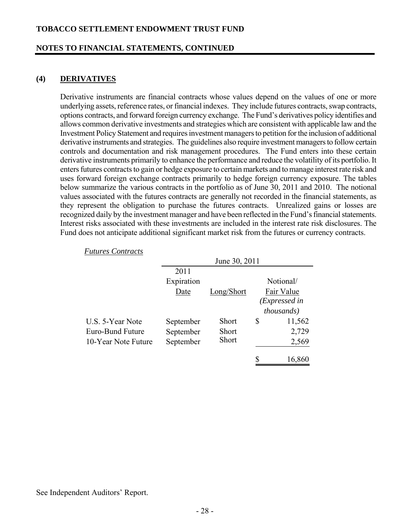#### **NOTES TO FINANCIAL STATEMENTS, CONTINUED**

#### **(4) DERIVATIVES**

Derivative instruments are financial contracts whose values depend on the values of one or more underlying assets, reference rates, or financial indexes. They include futures contracts, swap contracts, options contracts, and forward foreign currency exchange. The Fund's derivatives policy identifies and allows common derivative investments and strategies which are consistent with applicable law and the Investment Policy Statement and requires investment managers to petition for the inclusion of additional derivative instruments and strategies. The guidelines also require investment managers to follow certain controls and documentation and risk management procedures. The Fund enters into these certain derivative instruments primarily to enhance the performance and reduce the volatility of its portfolio. It enters futures contracts to gain or hedge exposure to certain markets and to manage interest rate risk and uses forward foreign exchange contracts primarily to hedge foreign currency exposure. The tables below summarize the various contracts in the portfolio as of June 30, 2011 and 2010. The notional values associated with the futures contracts are generally not recorded in the financial statements, as they represent the obligation to purchase the futures contracts. Unrealized gains or losses are recognized daily by the investment manager and have been reflected in the Fund's financial statements. Interest risks associated with these investments are included in the interest rate risk disclosures. The Fund does not anticipate additional significant market risk from the futures or currency contracts.

#### *Futures Contracts*

|                     | June 30, 2011 |              |    |                    |
|---------------------|---------------|--------------|----|--------------------|
|                     | 2011          |              |    |                    |
|                     | Expiration    |              |    | Notional/          |
|                     | Date          | Long/Short   |    | Fair Value         |
|                     |               |              |    | (Expressed in      |
|                     |               |              |    | <i>thousands</i> ) |
| U.S. 5-Year Note    | September     | <b>Short</b> | \$ | 11,562             |
| Euro-Bund Future    | September     | <b>Short</b> |    | 2,729              |
| 10-Year Note Future | September     | Short        |    | 2,569              |
|                     |               |              | \$ | 16,860             |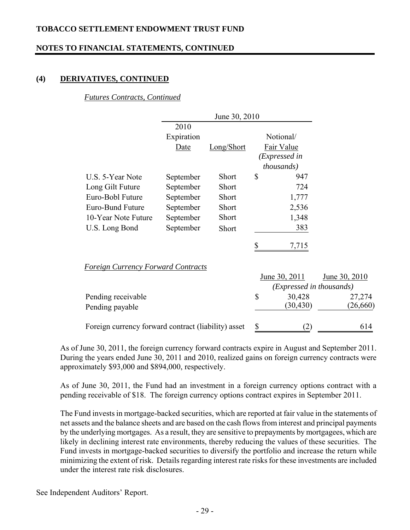## **NOTES TO FINANCIAL STATEMENTS, CONTINUED**

#### **(4) DERIVATIVES, CONTINUED**

#### *Futures Contracts, Continued*

|                                                     | 2010        |              |    |                          |               |
|-----------------------------------------------------|-------------|--------------|----|--------------------------|---------------|
|                                                     | Expiration  |              |    | Notional/                |               |
|                                                     | <u>Date</u> | Long/Short   |    | Fair Value               |               |
|                                                     |             |              |    | (Expressed in            |               |
|                                                     |             |              |    | <i>thousands</i> )       |               |
| U.S. 5-Year Note                                    | September   | <b>Short</b> | \$ | 947                      |               |
| Long Gilt Future                                    | September   | Short        |    | 724                      |               |
| Euro-Bobl Future                                    | September   | Short        |    | 1,777                    |               |
| Euro-Bund Future                                    | September   | <b>Short</b> |    | 2,536                    |               |
| 10-Year Note Future                                 | September   | <b>Short</b> |    | 1,348                    |               |
| U.S. Long Bond                                      | September   | Short        |    | 383                      |               |
|                                                     |             |              | \$ | 7,715                    |               |
| <b>Foreign Currency Forward Contracts</b>           |             |              |    |                          |               |
|                                                     |             |              |    | June 30, 2011            | June 30, 2010 |
|                                                     |             |              |    | (Expressed in thousands) |               |
| Pending receivable                                  |             |              | \$ | 30,428                   | 27,274        |
| Pending payable                                     |             |              |    | (30, 430)                | (26, 660)     |
| Foreign currency forward contract (liability) asset |             |              | \$ | (2)                      | 614           |

As of June 30, 2011, the foreign currency forward contracts expire in August and September 2011. During the years ended June 30, 2011 and 2010, realized gains on foreign currency contracts were approximately \$93,000 and \$894,000, respectively.

As of June 30, 2011, the Fund had an investment in a foreign currency options contract with a pending receivable of \$18. The foreign currency options contract expires in September 2011.

The Fund invests in mortgage-backed securities, which are reported at fair value in the statements of net assets and the balance sheets and are based on the cash flows from interest and principal payments by the underlying mortgages. As a result, they are sensitive to prepayments by mortgagees, which are likely in declining interest rate environments, thereby reducing the values of these securities. The Fund invests in mortgage-backed securities to diversify the portfolio and increase the return while minimizing the extent of risk. Details regarding interest rate risks for these investments are included under the interest rate risk disclosures.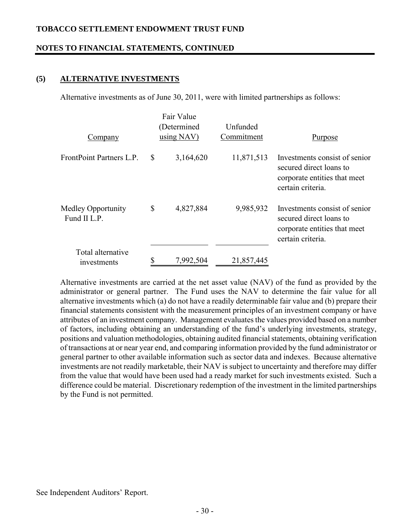## **NOTES TO FINANCIAL STATEMENTS, CONTINUED**

#### **(5) ALTERNATIVE INVESTMENTS**

Alternative investments as of June 30, 2011, were with limited partnerships as follows:

| Company                                   |              | Fair Value<br>(Determined<br>using NAV) | Unfunded<br>Commitment | Purpose                                                                                                       |
|-------------------------------------------|--------------|-----------------------------------------|------------------------|---------------------------------------------------------------------------------------------------------------|
| <b>FrontPoint Partners L.P.</b>           | $\mathbb{S}$ | 3,164,620                               | 11,871,513             | Investments consist of senior<br>secured direct loans to<br>corporate entities that meet<br>certain criteria. |
| <b>Medley Opportunity</b><br>Fund II L.P. | $\mathbb{S}$ | 4,827,884                               | 9,985,932              | Investments consist of senior<br>secured direct loans to<br>corporate entities that meet<br>certain criteria. |
| Total alternative<br>investments          | \$           | 7,992,504                               | 21,857,445             |                                                                                                               |

Alternative investments are carried at the net asset value (NAV) of the fund as provided by the administrator or general partner. The Fund uses the NAV to determine the fair value for all alternative investments which (a) do not have a readily determinable fair value and (b) prepare their financial statements consistent with the measurement principles of an investment company or have attributes of an investment company. Management evaluates the values provided based on a number of factors, including obtaining an understanding of the fund's underlying investments, strategy, positions and valuation methodologies, obtaining audited financial statements, obtaining verification of transactions at or near year end, and comparing information provided by the fund administrator or general partner to other available information such as sector data and indexes. Because alternative investments are not readily marketable, their NAV is subject to uncertainty and therefore may differ from the value that would have been used had a ready market for such investments existed. Such a difference could be material. Discretionary redemption of the investment in the limited partnerships by the Fund is not permitted.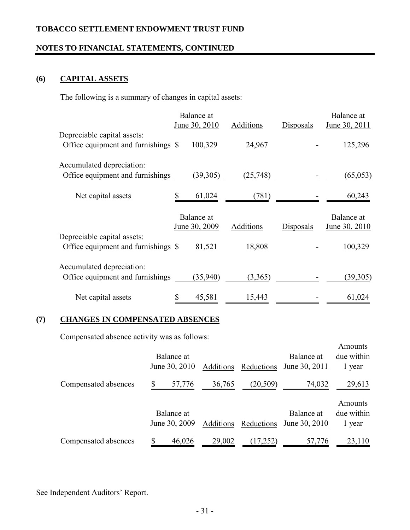# **NOTES TO FINANCIAL STATEMENTS, CONTINUED**

# **(6) CAPITAL ASSETS**

The following is a summary of changes in capital assets:

|                                                                    | Balance at<br>June 30, 2010 | Additions | Disposals | Balance at<br>June 30, 2011 |
|--------------------------------------------------------------------|-----------------------------|-----------|-----------|-----------------------------|
| Depreciable capital assets:                                        |                             |           |           |                             |
| Office equipment and furnishings \$                                | 100,329                     | 24,967    |           | 125,296                     |
| Accumulated depreciation:                                          |                             |           |           |                             |
| Office equipment and furnishings                                   | (39,305)                    | (25, 748) |           | (65, 053)                   |
| Net capital assets                                                 | \$<br>61,024                | (781)     |           | 60,243                      |
|                                                                    | Balance at                  |           |           | Balance at                  |
|                                                                    | June 30, 2009               | Additions | Disposals | June 30, 2010               |
| Depreciable capital assets:<br>Office equipment and furnishings \$ | 81,521                      | 18,808    |           | 100,329                     |
| Accumulated depreciation:                                          |                             |           |           |                             |
| Office equipment and furnishings                                   | (35,940)                    | (3,365)   |           | (39, 305)                   |
| Net capital assets                                                 | \$<br>45,581                | 15,443    |           | 61,024                      |

# **(7) CHANGES IN COMPENSATED ABSENCES**

Compensated absence activity was as follows:

|                      | Balance at<br>June 30, 2010 | <b>Additions</b> | Reductions | Balance at<br>June 30, 2011 | <b>Amounts</b><br>due within<br><u>l</u> year |
|----------------------|-----------------------------|------------------|------------|-----------------------------|-----------------------------------------------|
| Compensated absences | \$<br>57,776                | 36,765           | (20, 509)  | 74,032                      | 29,613                                        |
|                      | Balance at<br>June 30, 2009 | <b>Additions</b> | Reductions | Balance at<br>June 30, 2010 | Amounts<br>due within<br>1 year               |
| Compensated absences | \$<br>46,026                | 29,002           | 17,252     | 57,776                      | 23,110                                        |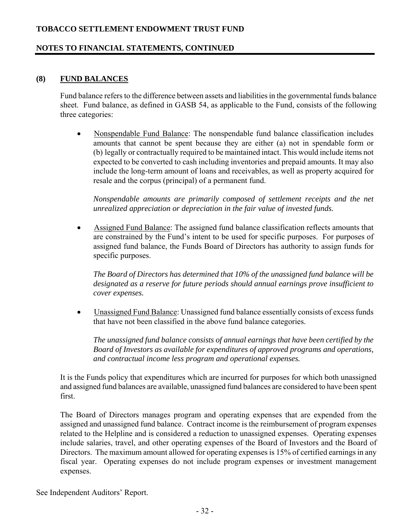## **NOTES TO FINANCIAL STATEMENTS, CONTINUED**

#### **(8) FUND BALANCES**

Fund balance refers to the difference between assets and liabilities in the governmental funds balance sheet. Fund balance, as defined in GASB 54, as applicable to the Fund, consists of the following three categories:

• Nonspendable Fund Balance: The nonspendable fund balance classification includes amounts that cannot be spent because they are either (a) not in spendable form or (b) legally or contractually required to be maintained intact. This would include items not expected to be converted to cash including inventories and prepaid amounts. It may also include the long-term amount of loans and receivables, as well as property acquired for resale and the corpus (principal) of a permanent fund.

*Nonspendable amounts are primarily composed of settlement receipts and the net unrealized appreciation or depreciation in the fair value of invested funds.* 

• Assigned Fund Balance: The assigned fund balance classification reflects amounts that are constrained by the Fund's intent to be used for specific purposes. For purposes of assigned fund balance, the Funds Board of Directors has authority to assign funds for specific purposes.

*The Board of Directors has determined that 10% of the unassigned fund balance will be designated as a reserve for future periods should annual earnings prove insufficient to cover expenses.* 

• Unassigned Fund Balance: Unassigned fund balance essentially consists of excess funds that have not been classified in the above fund balance categories.

*The unassigned fund balance consists of annual earnings that have been certified by the Board of Investors as available for expenditures of approved programs and operations, and contractual income less program and operational expenses.* 

It is the Funds policy that expenditures which are incurred for purposes for which both unassigned and assigned fund balances are available, unassigned fund balances are considered to have been spent first.

The Board of Directors manages program and operating expenses that are expended from the assigned and unassigned fund balance. Contract income is the reimbursement of program expenses related to the Helpline and is considered a reduction to unassigned expenses. Operating expenses include salaries, travel, and other operating expenses of the Board of Investors and the Board of Directors. The maximum amount allowed for operating expenses is 15% of certified earnings in any fiscal year. Operating expenses do not include program expenses or investment management expenses.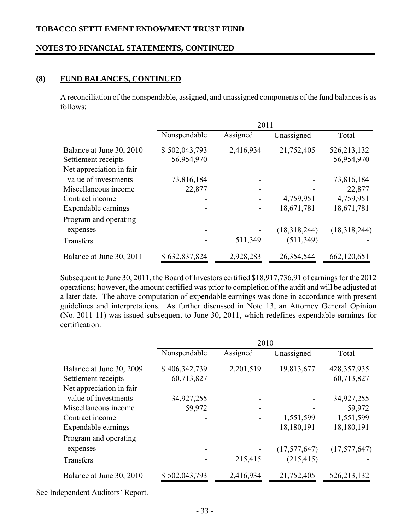#### **NOTES TO FINANCIAL STATEMENTS, CONTINUED**

#### **(8) FUND BALANCES, CONTINUED**

A reconciliation of the nonspendable, assigned, and unassigned components of the fund balances is as follows:

|                          | 2011          |                 |              |              |  |
|--------------------------|---------------|-----------------|--------------|--------------|--|
|                          | Nonspendable  | <b>Assigned</b> | Unassigned   | Total        |  |
| Balance at June 30, 2010 | \$502,043,793 | 2,416,934       | 21,752,405   | 526,213,132  |  |
| Settlement receipts      | 56,954,970    |                 |              | 56,954,970   |  |
| Net appreciation in fair |               |                 |              |              |  |
| value of investments     | 73,816,184    |                 |              | 73,816,184   |  |
| Miscellaneous income     | 22,877        |                 |              | 22,877       |  |
| Contract income          |               |                 | 4,759,951    | 4,759,951    |  |
| Expendable earnings      |               |                 | 18,671,781   | 18,671,781   |  |
| Program and operating    |               |                 |              |              |  |
| expenses                 |               |                 | (18,318,244) | (18,318,244) |  |
| Transfers                |               | 511,349         | (511, 349)   |              |  |
| Balance at June 30, 2011 | \$632,837,824 | 2,928,283       | 26,354,544   | 662,120,651  |  |

Subsequent to June 30, 2011, the Board of Investors certified \$18,917,736.91 of earnings for the 2012 operations; however, the amount certified was prior to completion of the audit and will be adjusted at a later date. The above computation of expendable earnings was done in accordance with present guidelines and interpretations. As further discussed in Note 13, an Attorney General Opinion (No. 2011-11) was issued subsequent to June 30, 2011, which redefines expendable earnings for certification.

|                          | 2010          |           |              |               |  |
|--------------------------|---------------|-----------|--------------|---------------|--|
|                          | Nonspendable  | Assigned  | Unassigned   | Total         |  |
| Balance at June 30, 2009 | \$406,342,739 | 2,201,519 | 19,813,677   | 428,357,935   |  |
| Settlement receipts      | 60,713,827    |           |              | 60,713,827    |  |
| Net appreciation in fair |               |           |              |               |  |
| value of investments     | 34,927,255    |           |              | 34,927,255    |  |
| Miscellaneous income     | 59,972        |           |              | 59,972        |  |
| Contract income          |               |           | 1,551,599    | 1,551,599     |  |
| Expendable earnings      |               |           | 18,180,191   | 18,180,191    |  |
| Program and operating    |               |           |              |               |  |
| expenses                 |               |           | (17,577,647) | (17,577,647)  |  |
| Transfers                |               | 215,415   | (215, 415)   |               |  |
| Balance at June 30, 2010 | \$502,043,793 | 2,416,934 | 21,752,405   | 526, 213, 132 |  |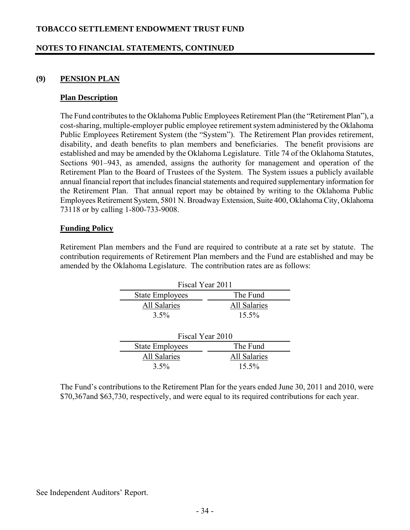## **NOTES TO FINANCIAL STATEMENTS, CONTINUED**

## **(9) PENSION PLAN**

#### **Plan Description**

The Fund contributes to the Oklahoma Public Employees Retirement Plan (the "Retirement Plan"), a cost-sharing, multiple-employer public employee retirement system administered by the Oklahoma Public Employees Retirement System (the "System"). The Retirement Plan provides retirement, disability, and death benefits to plan members and beneficiaries. The benefit provisions are established and may be amended by the Oklahoma Legislature. Title 74 of the Oklahoma Statutes, Sections 901–943, as amended, assigns the authority for management and operation of the Retirement Plan to the Board of Trustees of the System. The System issues a publicly available annual financial report that includes financial statements and required supplementary information for the Retirement Plan. That annual report may be obtained by writing to the Oklahoma Public Employees Retirement System, 5801 N. Broadway Extension, Suite 400, Oklahoma City, Oklahoma 73118 or by calling 1-800-733-9008.

#### **Funding Policy**

Retirement Plan members and the Fund are required to contribute at a rate set by statute. The contribution requirements of Retirement Plan members and the Fund are established and may be amended by the Oklahoma Legislature. The contribution rates are as follows:

| Fiscal Year 2011       |              |  |  |  |  |
|------------------------|--------------|--|--|--|--|
| <b>State Employees</b> | The Fund     |  |  |  |  |
| All Salaries           | All Salaries |  |  |  |  |
| 3.5%                   | 15.5%        |  |  |  |  |
| Fiscal Year 2010       |              |  |  |  |  |
| <b>State Employees</b> | The Fund     |  |  |  |  |
| All Salaries           | All Salaries |  |  |  |  |
| $3.5\%$                | 15.5%        |  |  |  |  |

The Fund's contributions to the Retirement Plan for the years ended June 30, 2011 and 2010, were \$70,367and \$63,730, respectively, and were equal to its required contributions for each year.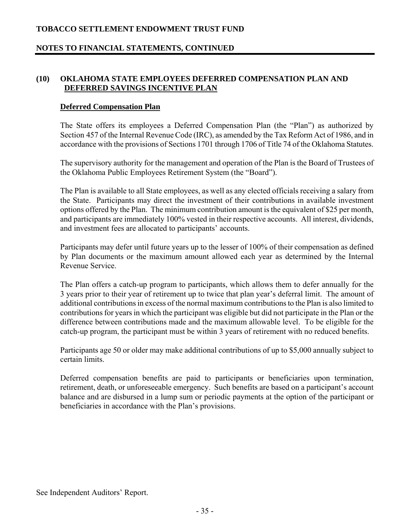## **NOTES TO FINANCIAL STATEMENTS, CONTINUED**

## **(10) OKLAHOMA STATE EMPLOYEES DEFERRED COMPENSATION PLAN AND DEFERRED SAVINGS INCENTIVE PLAN**

#### **Deferred Compensation Plan**

The State offers its employees a Deferred Compensation Plan (the "Plan") as authorized by Section 457 of the Internal Revenue Code (IRC), as amended by the Tax Reform Act of 1986, and in accordance with the provisions of Sections 1701 through 1706 of Title 74 of the Oklahoma Statutes.

The supervisory authority for the management and operation of the Plan is the Board of Trustees of the Oklahoma Public Employees Retirement System (the "Board").

The Plan is available to all State employees, as well as any elected officials receiving a salary from the State. Participants may direct the investment of their contributions in available investment options offered by the Plan. The minimum contribution amount is the equivalent of \$25 per month, and participants are immediately 100% vested in their respective accounts. All interest, dividends, and investment fees are allocated to participants' accounts.

Participants may defer until future years up to the lesser of 100% of their compensation as defined by Plan documents or the maximum amount allowed each year as determined by the Internal Revenue Service.

The Plan offers a catch-up program to participants, which allows them to defer annually for the 3 years prior to their year of retirement up to twice that plan year's deferral limit. The amount of additional contributions in excess of the normal maximum contributions to the Plan is also limited to contributions for years in which the participant was eligible but did not participate in the Plan or the difference between contributions made and the maximum allowable level. To be eligible for the catch-up program, the participant must be within 3 years of retirement with no reduced benefits.

Participants age 50 or older may make additional contributions of up to \$5,000 annually subject to certain limits.

Deferred compensation benefits are paid to participants or beneficiaries upon termination, retirement, death, or unforeseeable emergency. Such benefits are based on a participant's account balance and are disbursed in a lump sum or periodic payments at the option of the participant or beneficiaries in accordance with the Plan's provisions.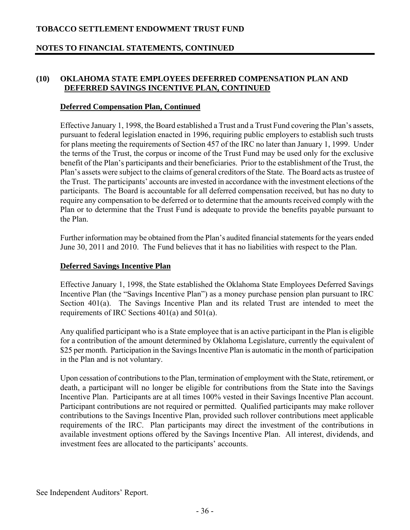# **NOTES TO FINANCIAL STATEMENTS, CONTINUED**

## **(10) OKLAHOMA STATE EMPLOYEES DEFERRED COMPENSATION PLAN AND DEFERRED SAVINGS INCENTIVE PLAN, CONTINUED**

#### **Deferred Compensation Plan, Continued**

Effective January 1, 1998, the Board established a Trust and a Trust Fund covering the Plan's assets, pursuant to federal legislation enacted in 1996, requiring public employers to establish such trusts for plans meeting the requirements of Section 457 of the IRC no later than January 1, 1999. Under the terms of the Trust, the corpus or income of the Trust Fund may be used only for the exclusive benefit of the Plan's participants and their beneficiaries. Prior to the establishment of the Trust, the Plan's assets were subject to the claims of general creditors of the State. The Board acts as trustee of the Trust. The participants' accounts are invested in accordance with the investment elections of the participants. The Board is accountable for all deferred compensation received, but has no duty to require any compensation to be deferred or to determine that the amounts received comply with the Plan or to determine that the Trust Fund is adequate to provide the benefits payable pursuant to the Plan.

Further information may be obtained from the Plan's audited financial statements for the years ended June 30, 2011 and 2010. The Fund believes that it has no liabilities with respect to the Plan.

#### **Deferred Savings Incentive Plan**

Effective January 1, 1998, the State established the Oklahoma State Employees Deferred Savings Incentive Plan (the "Savings Incentive Plan") as a money purchase pension plan pursuant to IRC Section 401(a). The Savings Incentive Plan and its related Trust are intended to meet the requirements of IRC Sections 401(a) and 501(a).

Any qualified participant who is a State employee that is an active participant in the Plan is eligible for a contribution of the amount determined by Oklahoma Legislature, currently the equivalent of \$25 per month. Participation in the Savings Incentive Plan is automatic in the month of participation in the Plan and is not voluntary.

Upon cessation of contributions to the Plan, termination of employment with the State, retirement, or death, a participant will no longer be eligible for contributions from the State into the Savings Incentive Plan. Participants are at all times 100% vested in their Savings Incentive Plan account. Participant contributions are not required or permitted. Qualified participants may make rollover contributions to the Savings Incentive Plan, provided such rollover contributions meet applicable requirements of the IRC. Plan participants may direct the investment of the contributions in available investment options offered by the Savings Incentive Plan. All interest, dividends, and investment fees are allocated to the participants' accounts.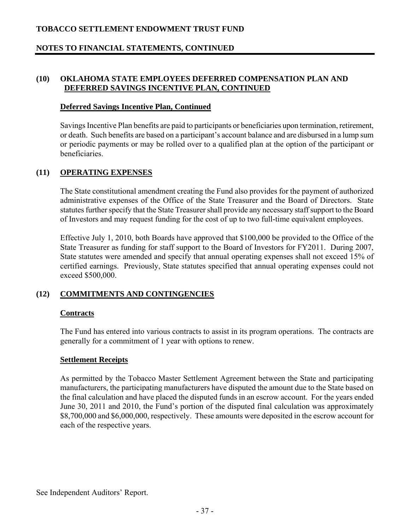# **NOTES TO FINANCIAL STATEMENTS, CONTINUED**

## **(10) OKLAHOMA STATE EMPLOYEES DEFERRED COMPENSATION PLAN AND DEFERRED SAVINGS INCENTIVE PLAN, CONTINUED**

#### **Deferred Savings Incentive Plan, Continued**

Savings Incentive Plan benefits are paid to participants or beneficiaries upon termination, retirement, or death. Such benefits are based on a participant's account balance and are disbursed in a lump sum or periodic payments or may be rolled over to a qualified plan at the option of the participant or beneficiaries.

#### **(11) OPERATING EXPENSES**

The State constitutional amendment creating the Fund also provides for the payment of authorized administrative expenses of the Office of the State Treasurer and the Board of Directors. State statutes further specify that the State Treasurer shall provide any necessary staff support to the Board of Investors and may request funding for the cost of up to two full-time equivalent employees.

Effective July 1, 2010, both Boards have approved that \$100,000 be provided to the Office of the State Treasurer as funding for staff support to the Board of Investors for FY2011. During 2007, State statutes were amended and specify that annual operating expenses shall not exceed 15% of certified earnings. Previously, State statutes specified that annual operating expenses could not exceed \$500,000.

## **(12) COMMITMENTS AND CONTINGENCIES**

#### **Contracts**

The Fund has entered into various contracts to assist in its program operations. The contracts are generally for a commitment of 1 year with options to renew.

#### **Settlement Receipts**

As permitted by the Tobacco Master Settlement Agreement between the State and participating manufacturers, the participating manufacturers have disputed the amount due to the State based on the final calculation and have placed the disputed funds in an escrow account. For the years ended June 30, 2011 and 2010, the Fund's portion of the disputed final calculation was approximately \$8,700,000 and \$6,000,000, respectively. These amounts were deposited in the escrow account for each of the respective years.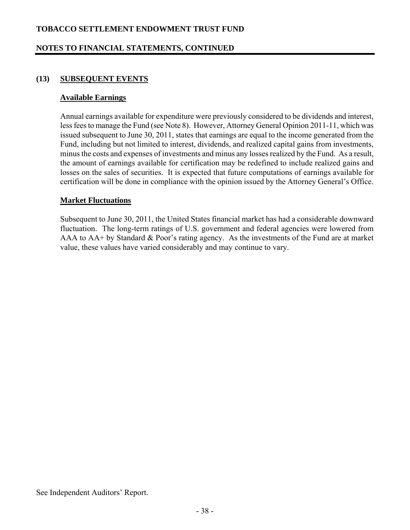# **NOTES TO FINANCIAL STATEMENTS, CONTINUED**

## **(13) SUBSEQUENT EVENTS**

#### **Available Earnings**

Annual earnings available for expenditure were previously considered to be dividends and interest, less fees to manage the Fund (see Note 8). However, Attorney General Opinion 2011-11, which was issued subsequent to June 30, 2011, states that earnings are equal to the income generated from the Fund, including but not limited to interest, dividends, and realized capital gains from investments, minus the costs and expenses of investments and minus any losses realized by the Fund. As a result, the amount of earnings available for certification may be redefined to include realized gains and losses on the sales of securities. It is expected that future computations of earnings available for certification will be done in compliance with the opinion issued by the Attorney General's Office.

## **Market Fluctuations**

Subsequent to June 30, 2011, the United States financial market has had a considerable downward fluctuation. The long-term ratings of U.S. government and federal agencies were lowered from AAA to AA+ by Standard & Poor's rating agency. As the investments of the Fund are at market value, these values have varied considerably and may continue to vary.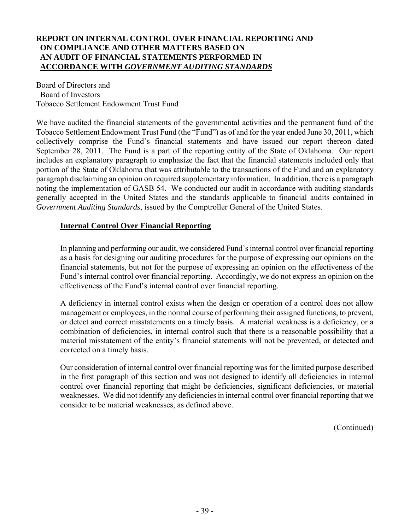#### **REPORT ON INTERNAL CONTROL OVER FINANCIAL REPORTING AND ON COMPLIANCE AND OTHER MATTERS BASED ON AN AUDIT OF FINANCIAL STATEMENTS PERFORMED IN ACCORDANCE WITH** *GOVERNMENT AUDITING STANDARDS*

Board of Directors and Board of Investors Tobacco Settlement Endowment Trust Fund

We have audited the financial statements of the governmental activities and the permanent fund of the Tobacco Settlement Endowment Trust Fund (the "Fund") as of and for the year ended June 30, 2011, which collectively comprise the Fund's financial statements and have issued our report thereon dated September 28, 2011. The Fund is a part of the reporting entity of the State of Oklahoma. Our report includes an explanatory paragraph to emphasize the fact that the financial statements included only that portion of the State of Oklahoma that was attributable to the transactions of the Fund and an explanatory paragraph disclaiming an opinion on required supplementary information. In addition, there is a paragraph noting the implementation of GASB 54. We conducted our audit in accordance with auditing standards generally accepted in the United States and the standards applicable to financial audits contained in *Government Auditing Standards*, issued by the Comptroller General of the United States.

## **Internal Control Over Financial Reporting**

In planning and performing our audit, we considered Fund's internal control over financial reporting as a basis for designing our auditing procedures for the purpose of expressing our opinions on the financial statements, but not for the purpose of expressing an opinion on the effectiveness of the Fund's internal control over financial reporting. Accordingly, we do not express an opinion on the effectiveness of the Fund's internal control over financial reporting.

A deficiency in internal control exists when the design or operation of a control does not allow management or employees, in the normal course of performing their assigned functions, to prevent, or detect and correct misstatements on a timely basis. A material weakness is a deficiency, or a combination of deficiencies, in internal control such that there is a reasonable possibility that a material misstatement of the entity's financial statements will not be prevented, or detected and corrected on a timely basis.

Our consideration of internal control over financial reporting was for the limited purpose described in the first paragraph of this section and was not designed to identify all deficiencies in internal control over financial reporting that might be deficiencies, significant deficiencies, or material weaknesses. We did not identify any deficiencies in internal control over financial reporting that we consider to be material weaknesses, as defined above.

(Continued)